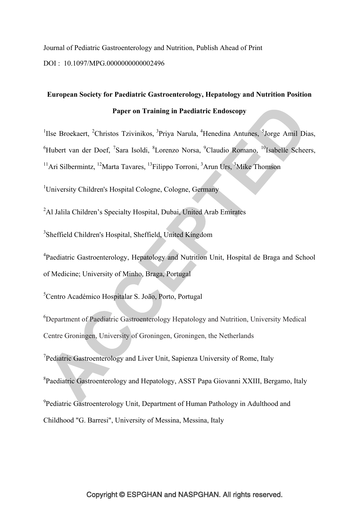Journal of Pediatric Gastroenterology and Nutrition, Publish Ahead of Print DOI : 10.1097/MPG.0000000000002496

# **European Society for Paediatric Gastroenterology, Hepatology and Nutrition Position Paper on Training in Paediatric Endoscopy**

<sup>1</sup>Ilse Broekaert, <sup>2</sup>Christos Tzivinikos, <sup>3</sup>Priya Narula, <sup>4</sup>Henedina Antunes, <sup>5</sup>Jorge Amil Dias, <sup>6</sup>Hubert van der Doef, <sup>7</sup>Sara Isoldi, <sup>8</sup>Lorenzo Norsa, <sup>9</sup>Claudio Romano, <sup>10</sup>Isabelle Scheers, <sup>11</sup>Ari Silbermintz, <sup>12</sup>Marta Tavares, <sup>13</sup>Filippo Torroni, <sup>3</sup>Arun Urs, <sup>3</sup>Mike Thomson

<sup>1</sup>University Children's Hospital Cologne, Cologne, Germany

<sup>2</sup>Al Jalila Children's Specialty Hospital, Dubai, United Arab Emirates

3 Sheffield Children's Hospital, Sheffield, United Kingdom

<sup>4</sup>Paediatric Gastroenterology, Hepatology and Nutrition Unit, Hospital de Braga and School of Medicine; University of Minho, Braga, Portugal

5 Centro Académico Hospitalar S. João, Porto, Portugal

6 Department of Paediatric Gastroenterology Hepatology and Nutrition, University Medical Centre Groningen, University of Groningen, Groningen, the Netherlands

<sup>7</sup>Pediatric Gastroenterology and Liver Unit, Sapienza University of Rome, Italy

<sup>8</sup>Paediatric Gastroenterology and Hepatology, ASST Papa Giovanni XXIII, Bergamo, Italy

<sup>9</sup> Pediatric Gastroenterology Unit, Department of Human Pathology in Adulthood and

Childhood "G. Barresi", University of Messina, Messina, Italy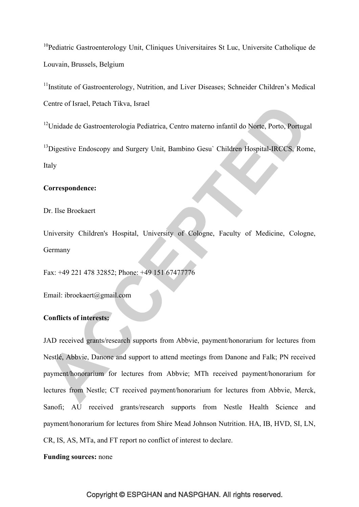<sup>10</sup>Pediatric Gastroenterology Unit, Cliniques Universitaires St Luc, Universite Catholique de Louvain, Brussels, Belgium

<sup>11</sup>Institute of Gastroenterology, Nutrition, and Liver Diseases; Schneider Children's Medical Centre of Israel, Petach Tikva, Israel

<sup>12</sup>Unidade de Gastroenterologia Pediatrica, Centro materno infantil do Norte, Porto, Portugal

<sup>13</sup>Digestive Endoscopy and Surgery Unit, Bambino Gesu` Children Hospital-IRCCS, Rome, Italy

## **Correspondence:**

Dr. Ilse Broekaert

University Children's Hospital, University of Cologne, Faculty of Medicine, Cologne, Germany

Fax: +49 221 478 32852; Phone: +49 151 67477776

Email: ibroekaert@gmail.com

## **Conflicts of interests:**

JAD received grants/research supports from Abbvie, payment/honorarium for lectures from Nestlé, Abbvie, Danone and support to attend meetings from Danone and Falk; PN received payment/honorarium for lectures from Abbvie; MTh received payment/honorarium for lectures from Nestle; CT received payment/honorarium for lectures from Abbvie, Merck, Sanofi; AU received grants/research supports from Nestle Health Science and payment/honorarium for lectures from Shire Mead Johnson Nutrition. HA, IB, HVD, SI, LN, CR, IS, AS, MTa, and FT report no conflict of interest to declare.

## **Funding sources:** none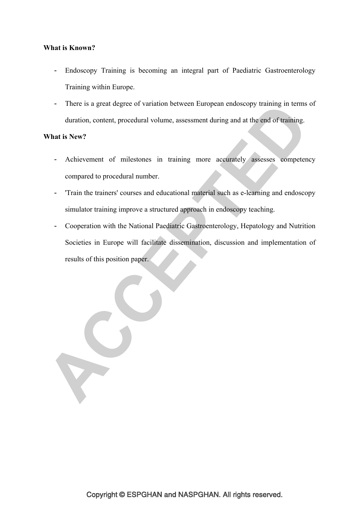## **What is Known?**

- Endoscopy Training is becoming an integral part of Paediatric Gastroenterology Training within Europe.
- There is a great degree of variation between European endoscopy training in terms of duration, content, procedural volume, assessment during and at the end of training.

## **What is New?**

- Achievement of milestones in training more accurately assesses competency compared to procedural number.
- 'Train the trainers' courses and educational material such as e-learning and endoscopy simulator training improve a structured approach in endoscopy teaching.
- Cooperation with the National Paediatric Gastroenterology, Hepatology and Nutrition Societies in Europe will facilitate dissemination, discussion and implementation of results of this position paper.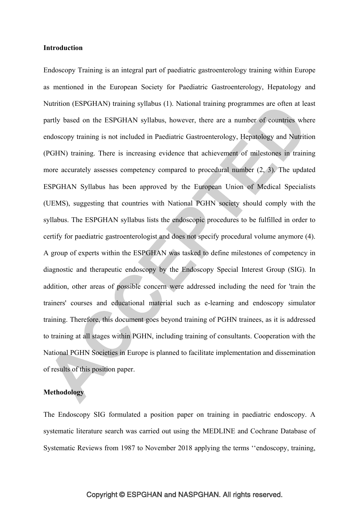#### **Introduction**

Endoscopy Training is an integral part of paediatric gastroenterology training within Europe as mentioned in the European Society for Paediatric Gastroenterology, Hepatology and Nutrition (ESPGHAN) training syllabus (1). National training programmes are often at least partly based on the ESPGHAN syllabus, however, there are a number of countries where endoscopy training is not included in Paediatric Gastroenterology, Hepatology and Nutrition (PGHN) training. There is increasing evidence that achievement of milestones in training more accurately assesses competency compared to procedural number (2, 3). The updated ESPGHAN Syllabus has been approved by the European Union of Medical Specialists (UEMS), suggesting that countries with National PGHN society should comply with the syllabus. The ESPGHAN syllabus lists the endoscopic procedures to be fulfilled in order to certify for paediatric gastroenterologist and does not specify procedural volume anymore (4). A group of experts within the ESPGHAN was tasked to define milestones of competency in diagnostic and therapeutic endoscopy by the Endoscopy Special Interest Group (SIG). In addition, other areas of possible concern were addressed including the need for 'train the trainers' courses and educational material such as e-learning and endoscopy simulator training. Therefore, this document goes beyond training of PGHN trainees, as it is addressed to training at all stages within PGHN, including training of consultants. Cooperation with the National PGHN Societies in Europe is planned to facilitate implementation and dissemination of results of this position paper.

## **Methodology**

The Endoscopy SIG formulated a position paper on training in paediatric endoscopy. A systematic literature search was carried out using the MEDLINE and Cochrane Database of Systematic Reviews from 1987 to November 2018 applying the terms ''endoscopy, training,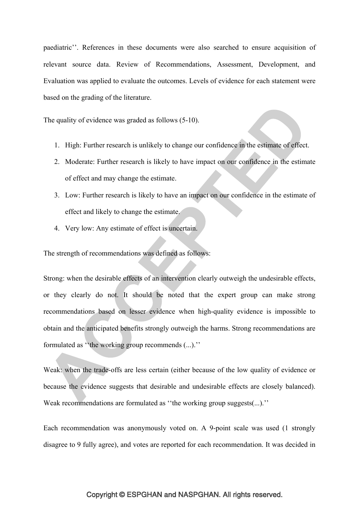paediatric''. References in these documents were also searched to ensure acquisition of relevant source data. Review of Recommendations, Assessment, Development, and Evaluation was applied to evaluate the outcomes. Levels of evidence for each statement were based on the grading of the literature.

The quality of evidence was graded as follows (5-10).

- 1. High: Further research is unlikely to change our confidence in the estimate of effect.
- 2. Moderate: Further research is likely to have impact on our confidence in the estimate of effect and may change the estimate.
- 3. Low: Further research is likely to have an impact on our confidence in the estimate of effect and likely to change the estimate.
- 4. Very low: Any estimate of effect is uncertain.

The strength of recommendations was defined as follows:

Strong: when the desirable effects of an intervention clearly outweigh the undesirable effects, or they clearly do not. It should be noted that the expert group can make strong recommendations based on lesser evidence when high-quality evidence is impossible to obtain and the anticipated benefits strongly outweigh the harms. Strong recommendations are formulated as ''the working group recommends (...).''

Weak: when the trade-offs are less certain (either because of the low quality of evidence or because the evidence suggests that desirable and undesirable effects are closely balanced). Weak recommendations are formulated as "the working group suggests(...)."

Each recommendation was anonymously voted on. A 9-point scale was used (1 strongly disagree to 9 fully agree), and votes are reported for each recommendation. It was decided in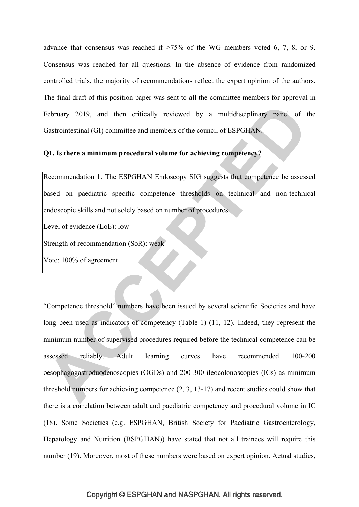advance that consensus was reached if >75% of the WG members voted 6, 7, 8, or 9. Consensus was reached for all questions. In the absence of evidence from randomized controlled trials, the majority of recommendations reflect the expert opinion of the authors. The final draft of this position paper was sent to all the committee members for approval in February 2019, and then critically reviewed by a multidisciplinary panel of the Gastrointestinal (GI) committee and members of the council of ESPGHAN.

#### **Q1. Is there a minimum procedural volume for achieving competency?**

Recommendation 1. The ESPGHAN Endoscopy SIG suggests that competence be assessed based on paediatric specific competence thresholds on technical and non-technical endoscopic skills and not solely based on number of procedures.

Level of evidence (LoE): low

Strength of recommendation (SoR): weak

Vote: 100% of agreement

"Competence threshold" numbers have been issued by several scientific Societies and have long been used as indicators of competency (Table 1) (11, 12). Indeed, they represent the minimum number of supervised procedures required before the technical competence can be assessed reliably. Adult learning curves have recommended 100-200 oesophagogastroduodenoscopies (OGDs) and 200-300 ileocolonoscopies (ICs) as minimum threshold numbers for achieving competence (2, 3, 13-17) and recent studies could show that there is a correlation between adult and paediatric competency and procedural volume in IC (18). Some Societies (e.g. ESPGHAN, British Society for Paediatric Gastroenterology, Hepatology and Nutrition (BSPGHAN)) have stated that not all trainees will require this number (19). Moreover, most of these numbers were based on expert opinion. Actual studies,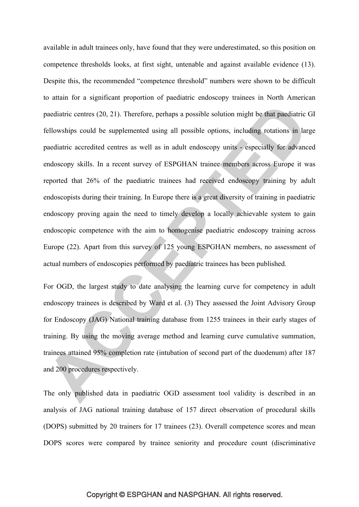available in adult trainees only, have found that they were underestimated, so this position on competence thresholds looks, at first sight, untenable and against available evidence (13). Despite this, the recommended "competence threshold" numbers were shown to be difficult to attain for a significant proportion of paediatric endoscopy trainees in North American paediatric centres (20, 21). Therefore, perhaps a possible solution might be that paediatric GI fellowships could be supplemented using all possible options, including rotations in large paediatric accredited centres as well as in adult endoscopy units - especially for advanced endoscopy skills. In a recent survey of ESPGHAN trainee members across Europe it was reported that 26% of the paediatric trainees had received endoscopy training by adult endoscopists during their training. In Europe there is a great diversity of training in paediatric endoscopy proving again the need to timely develop a locally achievable system to gain endoscopic competence with the aim to homogenise paediatric endoscopy training across Europe (22). Apart from this survey of 125 young ESPGHAN members, no assessment of actual numbers of endoscopies performed by paediatric trainees has been published.

For OGD, the largest study to date analysing the learning curve for competency in adult endoscopy trainees is described by Ward et al. (3) They assessed the Joint Advisory Group for Endoscopy (JAG) National training database from 1255 trainees in their early stages of training. By using the moving average method and learning curve cumulative summation, trainees attained 95% completion rate (intubation of second part of the duodenum) after 187 and 200 procedures respectively.

The only published data in paediatric OGD assessment tool validity is described in an analysis of JAG national training database of 157 direct observation of procedural skills (DOPS) submitted by 20 trainers for 17 trainees (23). Overall competence scores and mean DOPS scores were compared by trainee seniority and procedure count (discriminative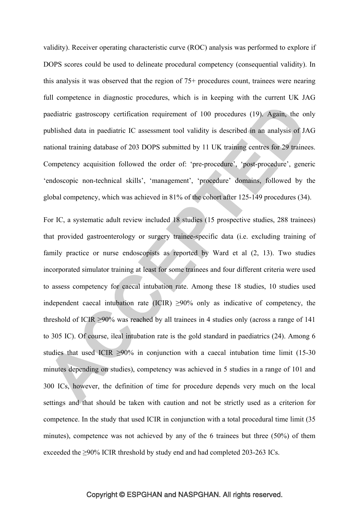validity). Receiver operating characteristic curve (ROC) analysis was performed to explore if DOPS scores could be used to delineate procedural competency (consequential validity). In this analysis it was observed that the region of 75+ procedures count, trainees were nearing full competence in diagnostic procedures, which is in keeping with the current UK JAG paediatric gastroscopy certification requirement of 100 procedures (19). Again, the only published data in paediatric IC assessment tool validity is described in an analysis of JAG national training database of 203 DOPS submitted by 11 UK training centres for 29 trainees. Competency acquisition followed the order of: 'pre-procedure', 'post-procedure', generic 'endoscopic non-technical skills', 'management', 'procedure' domains, followed by the global competency, which was achieved in 81% of the cohort after 125-149 procedures (34).

For IC, a systematic adult review included 18 studies (15 prospective studies, 288 trainees) that provided gastroenterology or surgery trainee-specific data (i.e. excluding training of family practice or nurse endoscopists as reported by Ward et al (2, 13). Two studies incorporated simulator training at least for some trainees and four different criteria were used to assess competency for caecal intubation rate. Among these 18 studies, 10 studies used independent caecal intubation rate  $(ICIR) \geq 90\%$  only as indicative of competency, the threshold of ICIR ≥90% was reached by all trainees in 4 studies only (across a range of 141 to 305 IC). Of course, ileal intubation rate is the gold standard in paediatrics (24). Among 6 studies that used ICIR  $\geq 90\%$  in conjunction with a caecal intubation time limit (15-30) minutes depending on studies), competency was achieved in 5 studies in a range of 101 and 300 ICs, however, the definition of time for procedure depends very much on the local settings and that should be taken with caution and not be strictly used as a criterion for competence. In the study that used ICIR in conjunction with a total procedural time limit (35 minutes), competence was not achieved by any of the 6 trainees but three (50%) of them exceeded the ≥90% ICIR threshold by study end and had completed 203-263 ICs.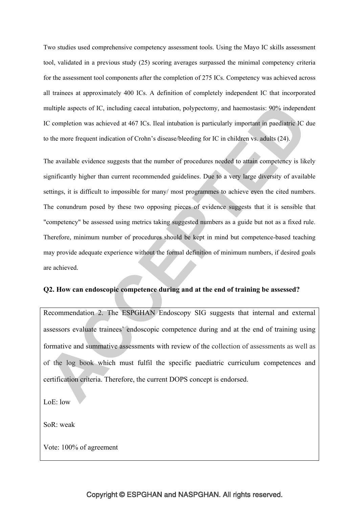Two studies used comprehensive competency assessment tools. Using the Mayo IC skills assessment tool, validated in a previous study (25) scoring averages surpassed the minimal competency criteria for the assessment tool components after the completion of 275 ICs. Competency was achieved across all trainees at approximately 400 ICs. A definition of completely independent IC that incorporated multiple aspects of IC, including caecal intubation, polypectomy, and haemostasis: 90% independent IC completion was achieved at 467 ICs. Ileal intubation is particularly important in paediatric IC due to the more frequent indication of Crohn's disease/bleeding for IC in children vs. adults (24).

The available evidence suggests that the number of procedures needed to attain competency is likely significantly higher than current recommended guidelines. Due to a very large diversity of available settings, it is difficult to impossible for many/ most programmes to achieve even the cited numbers. The conundrum posed by these two opposing pieces of evidence suggests that it is sensible that "competency" be assessed using metrics taking suggested numbers as a guide but not as a fixed rule. Therefore, minimum number of procedures should be kept in mind but competence-based teaching may provide adequate experience without the formal definition of minimum numbers, if desired goals are achieved.

#### **Q2. How can endoscopic competence during and at the end of training be assessed?**

Recommendation 2. The ESPGHAN Endoscopy SIG suggests that internal and external assessors evaluate trainees' endoscopic competence during and at the end of training using formative and summative assessments with review of the collection of assessments as well as of the log book which must fulfil the specific paediatric curriculum competences and certification criteria. Therefore, the current DOPS concept is endorsed.

LoE: low

SoR: weak

Vote: 100% of agreement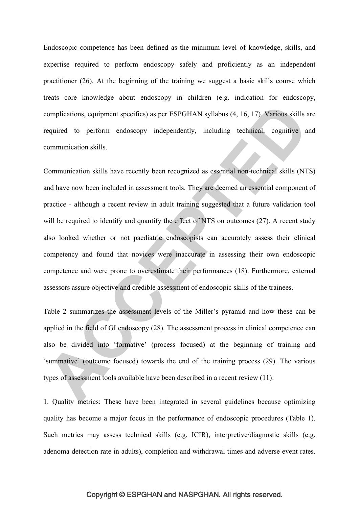Endoscopic competence has been defined as the minimum level of knowledge, skills, and expertise required to perform endoscopy safely and proficiently as an independent practitioner (26). At the beginning of the training we suggest a basic skills course which treats core knowledge about endoscopy in children (e.g. indication for endoscopy, complications, equipment specifics) as per ESPGHAN syllabus (4, 16, 17). Various skills are required to perform endoscopy independently, including technical, cognitive and communication skills.

Communication skills have recently been recognized as essential non-technical skills (NTS) and have now been included in assessment tools. They are deemed an essential component of practice - although a recent review in adult training suggested that a future validation tool will be required to identify and quantify the effect of NTS on outcomes (27). A recent study also looked whether or not paediatric endoscopists can accurately assess their clinical competency and found that novices were inaccurate in assessing their own endoscopic competence and were prone to overestimate their performances (18). Furthermore, external assessors assure objective and credible assessment of endoscopic skills of the trainees.

Table 2 summarizes the assessment levels of the Miller's pyramid and how these can be applied in the field of GI endoscopy (28). The assessment process in clinical competence can also be divided into 'formative' (process focused) at the beginning of training and 'summative' (outcome focused) towards the end of the training process (29). The various types of assessment tools available have been described in a recent review (11):

1. Quality metrics: These have been integrated in several guidelines because optimizing quality has become a major focus in the performance of endoscopic procedures (Table 1). Such metrics may assess technical skills (e.g. ICIR), interpretive/diagnostic skills (e.g. adenoma detection rate in adults), completion and withdrawal times and adverse event rates.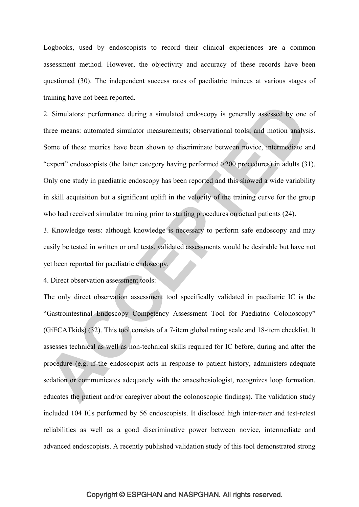Logbooks, used by endoscopists to record their clinical experiences are a common assessment method. However, the objectivity and accuracy of these records have been questioned (30). The independent success rates of paediatric trainees at various stages of training have not been reported.

2. Simulators: performance during a simulated endoscopy is generally assessed by one of three means: automated simulator measurements; observational tools; and motion analysis. Some of these metrics have been shown to discriminate between novice, intermediate and "expert" endoscopists (the latter category having performed >200 procedures) in adults (31). Only one study in paediatric endoscopy has been reported and this showed a wide variability in skill acquisition but a significant uplift in the velocity of the training curve for the group who had received simulator training prior to starting procedures on actual patients (24).

3. Knowledge tests: although knowledge is necessary to perform safe endoscopy and may easily be tested in written or oral tests, validated assessments would be desirable but have not yet been reported for paediatric endoscopy.

4. Direct observation assessment tools:

The only direct observation assessment tool specifically validated in paediatric IC is the "Gastrointestinal Endoscopy Competency Assessment Tool for Paediatric Colonoscopy" (GiECATkids) (32). This tool consists of a 7-item global rating scale and 18-item checklist. It assesses technical as well as non-technical skills required for IC before, during and after the procedure (e.g. if the endoscopist acts in response to patient history, administers adequate sedation or communicates adequately with the anaesthesiologist, recognizes loop formation, educates the patient and/or caregiver about the colonoscopic findings). The validation study included 104 ICs performed by 56 endoscopists. It disclosed high inter-rater and test-retest reliabilities as well as a good discriminative power between novice, intermediate and advanced endoscopists. A recently published validation study of this tool demonstrated strong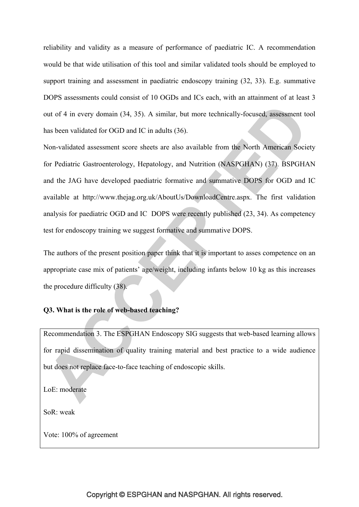reliability and validity as a measure of performance of paediatric IC. A recommendation would be that wide utilisation of this tool and similar validated tools should be employed to support training and assessment in paediatric endoscopy training (32, 33). E.g. summative DOPS assessments could consist of 10 OGDs and ICs each, with an attainment of at least 3 out of 4 in every domain (34, 35). A similar, but more technically-focused, assessment tool has been validated for OGD and IC in adults (36).

Non-validated assessment score sheets are also available from the North American Society for Pediatric Gastroenterology, Hepatology, and Nutrition (NASPGHAN) (37). BSPGHAN and the JAG have developed paediatric formative and summative DOPS for OGD and IC available at http://www.thejag.org.uk/AboutUs/DownloadCentre.aspx. The first validation analysis for paediatric OGD and IC DOPS were recently published (23, 34). As competency test for endoscopy training we suggest formative and summative DOPS.

The authors of the present position paper think that it is important to asses competence on an appropriate case mix of patients' age/weight, including infants below 10 kg as this increases the procedure difficulty (38).

## **Q3. What is the role of web-based teaching?**

Recommendation 3. The ESPGHAN Endoscopy SIG suggests that web-based learning allows for rapid dissemination of quality training material and best practice to a wide audience but does not replace face-to-face teaching of endoscopic skills.

LoE: moderate

SoR: weak

Vote: 100% of agreement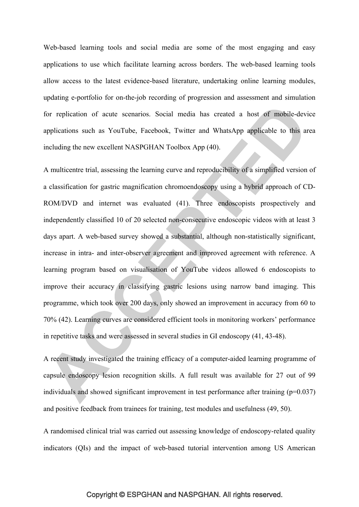Web-based learning tools and social media are some of the most engaging and easy applications to use which facilitate learning across borders. The web-based learning tools allow access to the latest evidence-based literature, undertaking online learning modules, updating e-portfolio for on-the-job recording of progression and assessment and simulation for replication of acute scenarios. Social media has created a host of mobile-device applications such as YouTube, Facebook, Twitter and WhatsApp applicable to this area including the new excellent NASPGHAN Toolbox App (40).

A multicentre trial, assessing the learning curve and reproducibility of a simplified version of a classification for gastric magnification chromoendoscopy using a hybrid approach of CD-ROM/DVD and internet was evaluated (41). Three endoscopists prospectively and independently classified 10 of 20 selected non-consecutive endoscopic videos with at least 3 days apart. A web-based survey showed a substantial, although non-statistically significant, increase in intra- and inter-observer agreement and improved agreement with reference. A learning program based on visualisation of YouTube videos allowed 6 endoscopists to improve their accuracy in classifying gastric lesions using narrow band imaging. This programme, which took over 200 days, only showed an improvement in accuracy from 60 to 70% (42). Learning curves are considered efficient tools in monitoring workers' performance in repetitive tasks and were assessed in several studies in GI endoscopy (41, 43-48).

A recent study investigated the training efficacy of a computer-aided learning programme of capsule endoscopy lesion recognition skills. A full result was available for 27 out of 99 individuals and showed significant improvement in test performance after training (p=0.037) and positive feedback from trainees for training, test modules and usefulness (49, 50).

A randomised clinical trial was carried out assessing knowledge of endoscopy-related quality indicators (QIs) and the impact of web-based tutorial intervention among US American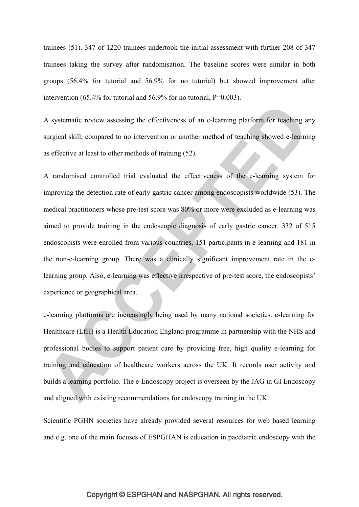trainees (51). 347 of 1220 trainees undertook the initial assessment with further 208 of 347 trainees taking the survey after randomisation. The baseline scores were similar in both groups (56.4% for tutorial and 56.9% for no tutorial) but showed improvement after intervention  $(65.4\%$  for tutorial and  $56.9\%$  for no tutorial, P=0.003).

A systematic review assessing the effectiveness of an e-learning platform for teaching any surgical skill, compared to no intervention or another method of teaching showed e-learning as effective at least to other methods of training (52).

A randomised controlled trial evaluated the effectiveness of the e-learning system for improving the detection rate of early gastric cancer among endoscopists worldwide (53). The medical practitioners whose pre-test score was 80% or more were excluded as e-learning was aimed to provide training in the endoscopic diagnosis of early gastric cancer. 332 of 515 endoscopists were enrolled from various countries, 151 participants in e-learning and 181 in the non-e-learning group. There was a clinically significant improvement rate in the elearning group. Also, e-learning was effective irrespective of pre-test score, the endoscopists' experience or geographical area.

e-learning platforms are increasingly being used by many national societies. e-learning for Healthcare (LfH) is a Health Education England programme in partnership with the NHS and professional bodies to support patient care by providing free, high quality e-learning for training and education of healthcare workers across the UK. It records user activity and builds a learning portfolio. The e-Endoscopy project is overseen by the JAG in GI Endoscopy and aligned with existing recommendations for endoscopy training in the UK.

Scientific PGHN societies have already provided several resources for web based learning and e.g. one of the main focuses of ESPGHAN is education in paediatric endoscopy with the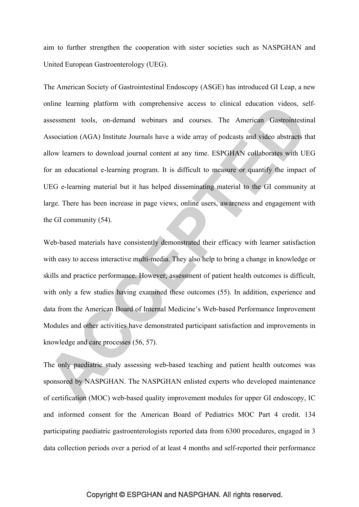aim to further strengthen the cooperation with sister societies such as NASPGHAN and United European Gastroenterology (UEG).

The American Society of Gastrointestinal Endoscopy (ASGE) has introduced GI Leap, a new online learning platform with comprehensive access to clinical education videos, selfassessment tools, on-demand webinars and courses. The American Gastrointestinal Association (AGA) Institute Journals have a wide array of podcasts and video abstracts that allow learners to download journal content at any time. ESPGHAN collaborates with UEG for an educational e-learning program. It is difficult to measure or quantify the impact of UEG e-learning material but it has helped disseminating material to the GI community at large. There has been increase in page views, online users, awareness and engagement with the GI community (54).

Web-based materials have consistently demonstrated their efficacy with learner satisfaction with easy to access interactive multi-media. They also help to bring a change in knowledge or skills and practice performance. However, assessment of patient health outcomes is difficult, with only a few studies having examined these outcomes (55). In addition, experience and data from the American Board of Internal Medicine's Web-based Performance Improvement Modules and other activities have demonstrated participant satisfaction and improvements in knowledge and care processes (56, 57).

The only paediatric study assessing web-based teaching and patient health outcomes was sponsored by NASPGHAN. The NASPGHAN enlisted experts who developed maintenance of certification (MOC) web-based quality improvement modules for upper GI endoscopy, IC and informed consent for the American Board of Pediatrics MOC Part 4 credit. 134 participating paediatric gastroenterologists reported data from 6300 procedures, engaged in 3 data collection periods over a period of at least 4 months and self-reported their performance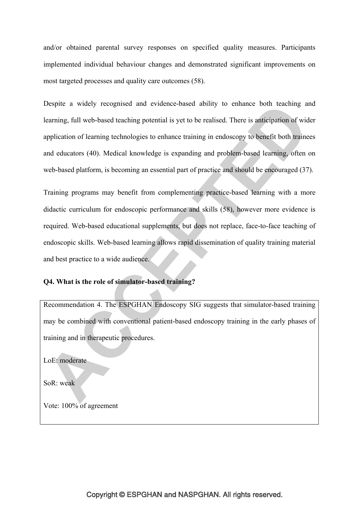and/or obtained parental survey responses on specified quality measures. Participants implemented individual behaviour changes and demonstrated significant improvements on most targeted processes and quality care outcomes (58).

Despite a widely recognised and evidence-based ability to enhance both teaching and learning, full web-based teaching potential is yet to be realised. There is anticipation of wider application of learning technologies to enhance training in endoscopy to benefit both trainees and educators (40). Medical knowledge is expanding and problem-based learning, often on web-based platform, is becoming an essential part of practice and should be encouraged (37).

Training programs may benefit from complementing practice-based learning with a more didactic curriculum for endoscopic performance and skills (58), however more evidence is required. Web-based educational supplements, but does not replace, face-to-face teaching of endoscopic skills. Web-based learning allows rapid dissemination of quality training material and best practice to a wide audience.

## **Q4. What is the role of simulator-based training?**

Recommendation 4. The ESPGHAN Endoscopy SIG suggests that simulator-based training may be combined with conventional patient-based endoscopy training in the early phases of training and in therapeutic procedures.

LoE: moderate

SoR: weak

Vote: 100% of agreement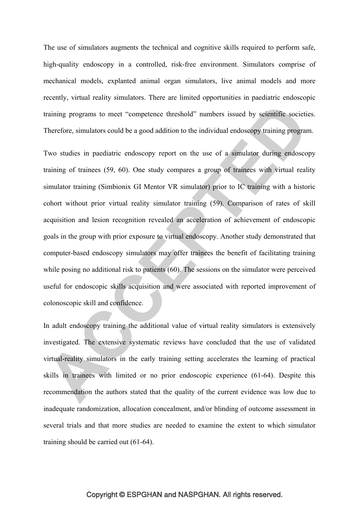The use of simulators augments the technical and cognitive skills required to perform safe, high-quality endoscopy in a controlled, risk-free environment. Simulators comprise of mechanical models, explanted animal organ simulators, live animal models and more recently, virtual reality simulators. There are limited opportunities in paediatric endoscopic training programs to meet "competence threshold" numbers issued by scientific societies. Therefore, simulators could be a good addition to the individual endoscopy training program.

Two studies in paediatric endoscopy report on the use of a simulator during endoscopy training of trainees (59, 60). One study compares a group of trainees with virtual reality simulator training (Simbionix GI Mentor VR simulator) prior to IC training with a historic cohort without prior virtual reality simulator training (59). Comparison of rates of skill acquisition and lesion recognition revealed an acceleration of achievement of endoscopic goals in the group with prior exposure to virtual endoscopy. Another study demonstrated that computer-based endoscopy simulators may offer trainees the benefit of facilitating training while posing no additional risk to patients (60). The sessions on the simulator were perceived useful for endoscopic skills acquisition and were associated with reported improvement of colonoscopic skill and confidence.

In adult endoscopy training the additional value of virtual reality simulators is extensively investigated. The extensive systematic reviews have concluded that the use of validated virtual-reality simulators in the early training setting accelerates the learning of practical skills in trainees with limited or no prior endoscopic experience (61-64). Despite this recommendation the authors stated that the quality of the current evidence was low due to inadequate randomization, allocation concealment, and/or blinding of outcome assessment in several trials and that more studies are needed to examine the extent to which simulator training should be carried out (61-64).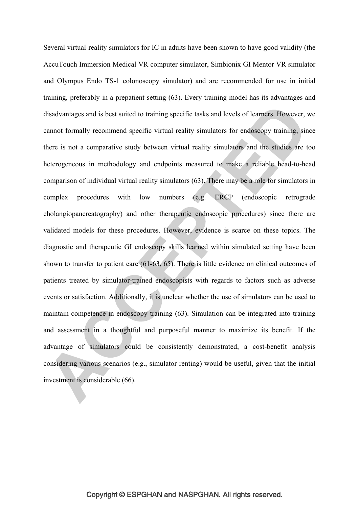Several virtual-reality simulators for IC in adults have been shown to have good validity (the AccuTouch Immersion Medical VR computer simulator, Simbionix GI Mentor VR simulator and Olympus Endo TS-1 colonoscopy simulator) and are recommended for use in initial training, preferably in a prepatient setting (63). Every training model has its advantages and disadvantages and is best suited to training specific tasks and levels of learners. However, we cannot formally recommend specific virtual reality simulators for endoscopy training, since there is not a comparative study between virtual reality simulators and the studies are too heterogeneous in methodology and endpoints measured to make a reliable head-to-head comparison of individual virtual reality simulators (63). There may be a role for simulators in complex procedures with low numbers (e.g. ERCP (endoscopic retrograde cholangiopancreatography) and other therapeutic endoscopic procedures) since there are validated models for these procedures. However, evidence is scarce on these topics. The diagnostic and therapeutic GI endoscopy skills learned within simulated setting have been shown to transfer to patient care (61-63, 65). There is little evidence on clinical outcomes of patients treated by simulator-trained endoscopists with regards to factors such as adverse events or satisfaction. Additionally, it is unclear whether the use of simulators can be used to maintain competence in endoscopy training (63). Simulation can be integrated into training and assessment in a thoughtful and purposeful manner to maximize its benefit. If the advantage of simulators could be consistently demonstrated, a cost-benefit analysis considering various scenarios (e.g., simulator renting) would be useful, given that the initial investment is considerable (66).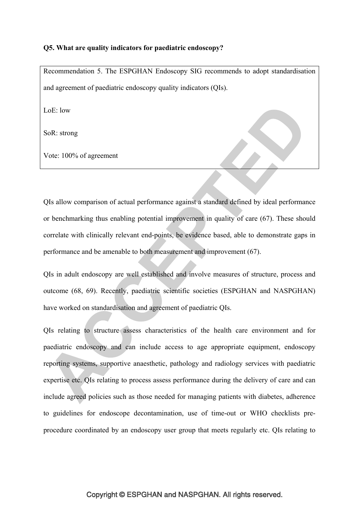## **Q5. What are quality indicators for paediatric endoscopy?**

Recommendation 5. The ESPGHAN Endoscopy SIG recommends to adopt standardisation and agreement of paediatric endoscopy quality indicators (QIs).

LoE: low

SoR: strong

Vote: 100% of agreement

QIs allow comparison of actual performance against a standard defined by ideal performance or benchmarking thus enabling potential improvement in quality of care (67). These should correlate with clinically relevant end-points, be evidence based, able to demonstrate gaps in performance and be amenable to both measurement and improvement (67).

QIs in adult endoscopy are well established and involve measures of structure, process and outcome (68, 69). Recently, paediatric scientific societies (ESPGHAN and NASPGHAN) have worked on standardisation and agreement of paediatric QIs.

QIs relating to structure assess characteristics of the health care environment and for paediatric endoscopy and can include access to age appropriate equipment, endoscopy reporting systems, supportive anaesthetic, pathology and radiology services with paediatric expertise etc. QIs relating to process assess performance during the delivery of care and can include agreed policies such as those needed for managing patients with diabetes, adherence to guidelines for endoscope decontamination, use of time-out or WHO checklists preprocedure coordinated by an endoscopy user group that meets regularly etc. QIs relating to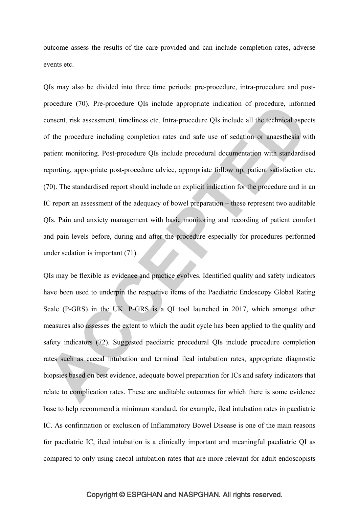outcome assess the results of the care provided and can include completion rates, adverse events etc.

QIs may also be divided into three time periods: pre-procedure, intra-procedure and postprocedure (70). Pre-procedure QIs include appropriate indication of procedure, informed consent, risk assessment, timeliness etc. Intra-procedure QIs include all the technical aspects of the procedure including completion rates and safe use of sedation or anaesthesia with patient monitoring. Post-procedure QIs include procedural documentation with standardised reporting, appropriate post-procedure advice, appropriate follow up, patient satisfaction etc. (70). The standardised report should include an explicit indication for the procedure and in an IC report an assessment of the adequacy of bowel preparation – these represent two auditable QIs. Pain and anxiety management with basic monitoring and recording of patient comfort and pain levels before, during and after the procedure especially for procedures performed under sedation is important (71).

QIs may be flexible as evidence and practice evolves. Identified quality and safety indicators have been used to underpin the respective items of the Paediatric Endoscopy Global Rating Scale (P-GRS) in the UK. P-GRS is a QI tool launched in 2017, which amongst other measures also assesses the extent to which the audit cycle has been applied to the quality and safety indicators (72). Suggested paediatric procedural QIs include procedure completion rates such as caecal intubation and terminal ileal intubation rates, appropriate diagnostic biopsies based on best evidence, adequate bowel preparation for ICs and safety indicators that relate to complication rates. These are auditable outcomes for which there is some evidence base to help recommend a minimum standard, for example, ileal intubation rates in paediatric IC. As confirmation or exclusion of Inflammatory Bowel Disease is one of the main reasons for paediatric IC, ileal intubation is a clinically important and meaningful paediatric QI as compared to only using caecal intubation rates that are more relevant for adult endoscopists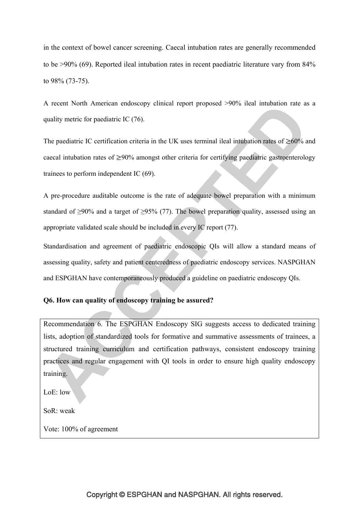in the context of bowel cancer screening. Caecal intubation rates are generally recommended to be >90% (69). Reported ileal intubation rates in recent paediatric literature vary from 84% to 98% (73-75).

A recent North American endoscopy clinical report proposed >90% ileal intubation rate as a quality metric for paediatric IC (76).

The paediatric IC certification criteria in the UK uses terminal ileal intubation rates of  $\geq 60\%$  and caecal intubation rates of  $\geq 90\%$  amongst other criteria for certifying paediatric gastroenterology trainees to perform independent IC (69).

A pre-procedure auditable outcome is the rate of adequate bowel preparation with a minimum standard of  $\geq$ 90% and a target of  $\geq$ 95% (77). The bowel preparation quality, assessed using an appropriate validated scale should be included in every IC report (77).

Standardisation and agreement of paediatric endoscopic QIs will allow a standard means of assessing quality, safety and patient centeredness of paediatric endoscopy services. NASPGHAN and ESPGHAN have contemporaneously produced a guideline on paediatric endoscopy QIs.

## **Q6. How can quality of endoscopy training be assured?**

Recommendation 6. The ESPGHAN Endoscopy SIG suggests access to dedicated training lists, adoption of standardized tools for formative and summative assessments of trainees, a structured training curriculum and certification pathways, consistent endoscopy training practices and regular engagement with QI tools in order to ensure high quality endoscopy training.

LoE: low

SoR: weak

Vote: 100% of agreement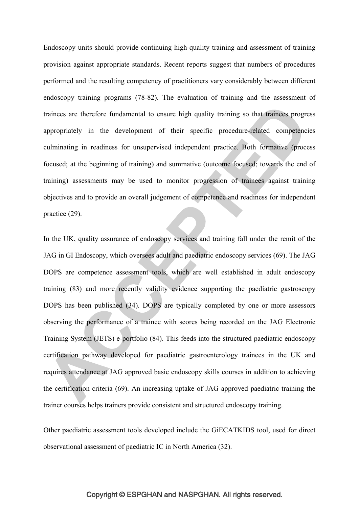Endoscopy units should provide continuing high-quality training and assessment of training provision against appropriate standards. Recent reports suggest that numbers of procedures performed and the resulting competency of practitioners vary considerably between different endoscopy training programs (78-82). The evaluation of training and the assessment of trainees are therefore fundamental to ensure high quality training so that trainees progress appropriately in the development of their specific procedure-related competencies culminating in readiness for unsupervised independent practice. Both formative (process focused; at the beginning of training) and summative (outcome focused; towards the end of training) assessments may be used to monitor progression of trainees against training objectives and to provide an overall judgement of competence and readiness for independent practice (29).

In the UK, quality assurance of endoscopy services and training fall under the remit of the JAG in GI Endoscopy, which oversees adult and paediatric endoscopy services (69). The JAG DOPS are competence assessment tools, which are well established in adult endoscopy training (83) and more recently validity evidence supporting the paediatric gastroscopy DOPS has been published (34). DOPS are typically completed by one or more assessors observing the performance of a trainee with scores being recorded on the JAG Electronic Training System (JETS) e-portfolio (84). This feeds into the structured paediatric endoscopy certification pathway developed for paediatric gastroenterology trainees in the UK and requires attendance at JAG approved basic endoscopy skills courses in addition to achieving the certification criteria (69). An increasing uptake of JAG approved paediatric training the trainer courses helps trainers provide consistent and structured endoscopy training.

Other paediatric assessment tools developed include the GiECATKIDS tool, used for direct observational assessment of paediatric IC in North America (32).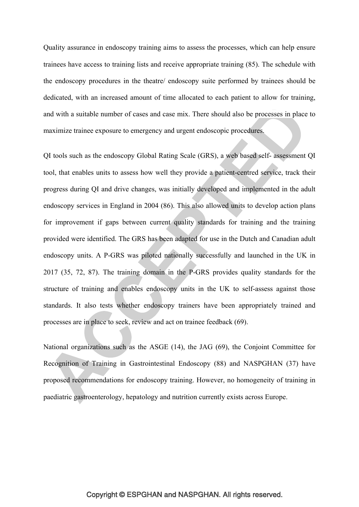Quality assurance in endoscopy training aims to assess the processes, which can help ensure trainees have access to training lists and receive appropriate training (85). The schedule with the endoscopy procedures in the theatre/ endoscopy suite performed by trainees should be dedicated, with an increased amount of time allocated to each patient to allow for training, and with a suitable number of cases and case mix. There should also be processes in place to maximize trainee exposure to emergency and urgent endoscopic procedures.

QI tools such as the endoscopy Global Rating Scale (GRS), a web based self- assessment QI tool, that enables units to assess how well they provide a patient-centred service, track their progress during QI and drive changes, was initially developed and implemented in the adult endoscopy services in England in 2004 (86). This also allowed units to develop action plans for improvement if gaps between current quality standards for training and the training provided were identified. The GRS has been adapted for use in the Dutch and Canadian adult endoscopy units. A P-GRS was piloted nationally successfully and launched in the UK in 2017 (35, 72, 87). The training domain in the P-GRS provides quality standards for the structure of training and enables endoscopy units in the UK to self-assess against those standards. It also tests whether endoscopy trainers have been appropriately trained and processes are in place to seek, review and act on trainee feedback (69).

National organizations such as the ASGE (14), the JAG (69), the Conjoint Committee for Recognition of Training in Gastrointestinal Endoscopy (88) and NASPGHAN (37) have proposed recommendations for endoscopy training. However, no homogeneity of training in paediatric gastroenterology, hepatology and nutrition currently exists across Europe.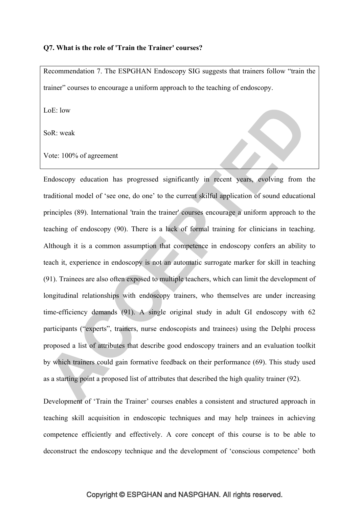#### **Q7. What is the role of 'Train the Trainer' courses?**

Recommendation 7. The ESPGHAN Endoscopy SIG suggests that trainers follow "train the trainer" courses to encourage a uniform approach to the teaching of endoscopy.

LoE: low

SoR: weak

Vote: 100% of agreement

Endoscopy education has progressed significantly in recent years, evolving from the traditional model of 'see one, do one' to the current skilful application of sound educational principles (89). International 'train the trainer' courses encourage a uniform approach to the teaching of endoscopy (90). There is a lack of formal training for clinicians in teaching. Although it is a common assumption that competence in endoscopy confers an ability to teach it, experience in endoscopy is not an automatic surrogate marker for skill in teaching (91). Trainees are also often exposed to multiple teachers, which can limit the development of longitudinal relationships with endoscopy trainers, who themselves are under increasing time-efficiency demands (91). A single original study in adult GI endoscopy with 62 participants ("experts", trainers, nurse endoscopists and trainees) using the Delphi process proposed a list of attributes that describe good endoscopy trainers and an evaluation toolkit by which trainers could gain formative feedback on their performance (69). This study used as a starting point a proposed list of attributes that described the high quality trainer (92).

Development of 'Train the Trainer' courses enables a consistent and structured approach in teaching skill acquisition in endoscopic techniques and may help trainees in achieving competence efficiently and effectively. A core concept of this course is to be able to deconstruct the endoscopy technique and the development of 'conscious competence' both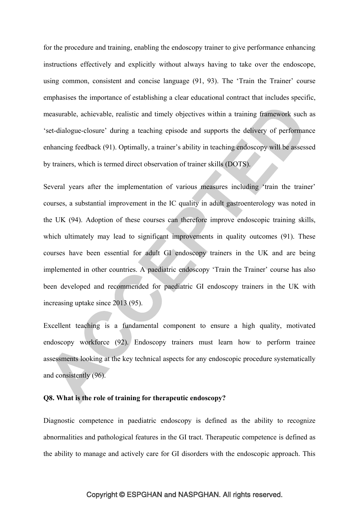for the procedure and training, enabling the endoscopy trainer to give performance enhancing instructions effectively and explicitly without always having to take over the endoscope, using common, consistent and concise language (91, 93). The 'Train the Trainer' course emphasises the importance of establishing a clear educational contract that includes specific, measurable, achievable, realistic and timely objectives within a training framework such as 'set-dialogue-closure' during a teaching episode and supports the delivery of performance enhancing feedback (91). Optimally, a trainer's ability in teaching endoscopy will be assessed by trainers, which is termed direct observation of trainer skills (DOTS).

Several years after the implementation of various measures including 'train the trainer' courses, a substantial improvement in the IC quality in adult gastroenterology was noted in the UK (94). Adoption of these courses can therefore improve endoscopic training skills, which ultimately may lead to significant improvements in quality outcomes (91). These courses have been essential for adult GI endoscopy trainers in the UK and are being implemented in other countries. A paediatric endoscopy 'Train the Trainer' course has also been developed and recommended for paediatric GI endoscopy trainers in the UK with increasing uptake since 2013 (95).

Excellent teaching is a fundamental component to ensure a high quality, motivated endoscopy workforce (92). Endoscopy trainers must learn how to perform trainee assessments looking at the key technical aspects for any endoscopic procedure systematically and consistently (96).

#### **Q8. What is the role of training for therapeutic endoscopy?**

Diagnostic competence in paediatric endoscopy is defined as the ability to recognize abnormalities and pathological features in the GI tract. Therapeutic competence is defined as the ability to manage and actively care for GI disorders with the endoscopic approach. This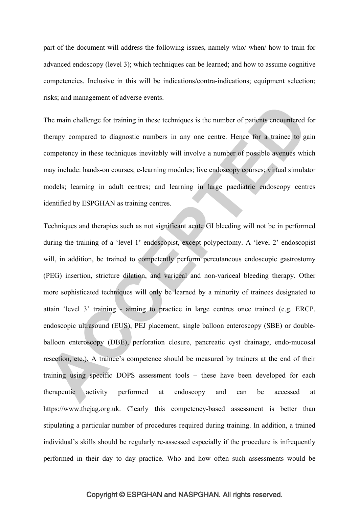part of the document will address the following issues, namely who/ when/ how to train for advanced endoscopy (level 3); which techniques can be learned; and how to assume cognitive competencies. Inclusive in this will be indications/contra-indications; equipment selection; risks; and management of adverse events.

The main challenge for training in these techniques is the number of patients encountered for therapy compared to diagnostic numbers in any one centre. Hence for a trainee to gain competency in these techniques inevitably will involve a number of possible avenues which may include: hands-on courses; e-learning modules; live endoscopy courses; virtual simulator models; learning in adult centres; and learning in large paediatric endoscopy centres identified by ESPGHAN as training centres.

Techniques and therapies such as not significant acute GI bleeding will not be in performed during the training of a 'level 1' endoscopist, except polypectomy. A 'level 2' endoscopist will, in addition, be trained to competently perform percutaneous endoscopic gastrostomy (PEG) insertion, stricture dilation, and variceal and non-variceal bleeding therapy. Other more sophisticated techniques will only be learned by a minority of trainees designated to attain 'level 3' training - aiming to practice in large centres once trained (e.g. ERCP, endoscopic ultrasound (EUS), PEJ placement, single balloon enteroscopy (SBE) or doubleballoon enteroscopy (DBE), perforation closure, pancreatic cyst drainage, endo-mucosal resection, etc.). A trainee's competence should be measured by trainers at the end of their training using specific DOPS assessment tools – these have been developed for each therapeutic activity performed at endoscopy and can be accessed at https://www.thejag.org.uk. Clearly this competency-based assessment is better than stipulating a particular number of procedures required during training. In addition, a trained individual's skills should be regularly re-assessed especially if the procedure is infrequently performed in their day to day practice. Who and how often such assessments would be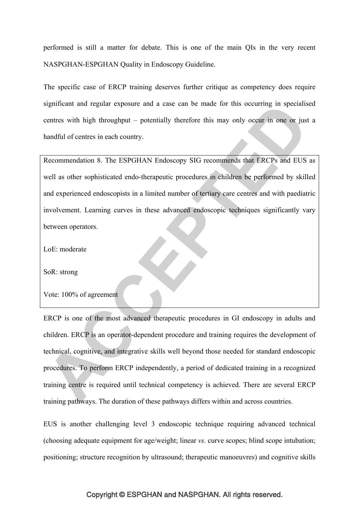performed is still a matter for debate. This is one of the main QIs in the very recent NASPGHAN-ESPGHAN Quality in Endoscopy Guideline.

The specific case of ERCP training deserves further critique as competency does require significant and regular exposure and a case can be made for this occurring in specialised centres with high throughput – potentially therefore this may only occur in one or just a handful of centres in each country.

Recommendation 8. The ESPGHAN Endoscopy SIG recommends that ERCPs and EUS as well as other sophisticated endo-therapeutic procedures in children be performed by skilled and experienced endoscopists in a limited number of tertiary care centres and with paediatric involvement. Learning curves in these advanced endoscopic techniques significantly vary between operators.

LoE: moderate

SoR: strong

Vote: 100% of agreement

ERCP is one of the most advanced therapeutic procedures in GI endoscopy in adults and children. ERCP is an operator-dependent procedure and training requires the development of technical, cognitive, and integrative skills well beyond those needed for standard endoscopic procedures. To perform ERCP independently, a period of dedicated training in a recognized training centre is required until technical competency is achieved. There are several ERCP training pathways. The duration of these pathways differs within and across countries.

EUS is another challenging level 3 endoscopic technique requiring advanced technical (choosing adequate equipment for age/weight; linear *vs.* curve scopes; blind scope intubation; positioning; structure recognition by ultrasound; therapeutic manoeuvres) and cognitive skills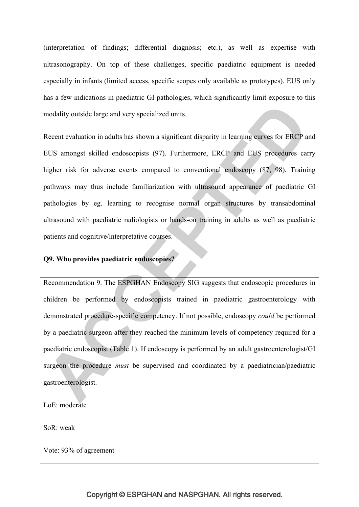(interpretation of findings; differential diagnosis; etc.), as well as expertise with ultrasonography. On top of these challenges, specific paediatric equipment is needed especially in infants (limited access, specific scopes only available as prototypes). EUS only has a few indications in paediatric GI pathologies, which significantly limit exposure to this modality outside large and very specialized units.

Recent evaluation in adults has shown a significant disparity in learning curves for ERCP and EUS amongst skilled endoscopists (97). Furthermore, ERCP and EUS procedures carry higher risk for adverse events compared to conventional endoscopy (87, 98). Training pathways may thus include familiarization with ultrasound appearance of paediatric GI pathologies by eg. learning to recognise normal organ structures by transabdominal ultrasound with paediatric radiologists or hands-on training in adults as well as paediatric patients and cognitive/interpretative courses.

## **Q9. Who provides paediatric endoscopies?**

Recommendation 9. The ESPGHAN Endoscopy SIG suggests that endoscopic procedures in children be performed by endoscopists trained in paediatric gastroenterology with demonstrated procedure-specific competency. If not possible, endoscopy *could* be performed by a paediatric surgeon after they reached the minimum levels of competency required for a paediatric endoscopist (Table 1). If endoscopy is performed by an adult gastroenterologist/GI surgeon the procedure *must* be supervised and coordinated by a paediatrician/paediatric gastroenterologist.

LoE: moderate

SoR: weak

Vote: 93% of agreement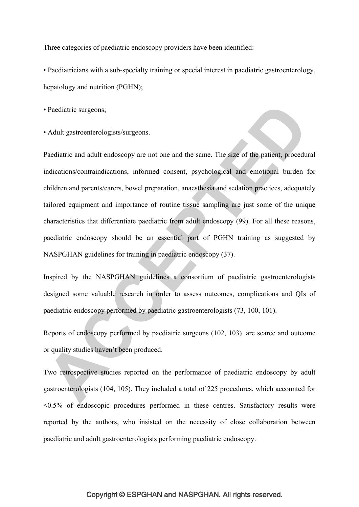Three categories of paediatric endoscopy providers have been identified:

• Paediatricians with a sub-specialty training or special interest in paediatric gastroenterology, hepatology and nutrition (PGHN);

• Paediatric surgeons;

• Adult gastroenterologists/surgeons.

Paediatric and adult endoscopy are not one and the same. The size of the patient, procedural indications/contraindications, informed consent, psychological and emotional burden for children and parents/carers, bowel preparation, anaesthesia and sedation practices, adequately tailored equipment and importance of routine tissue sampling are just some of the unique characteristics that differentiate paediatric from adult endoscopy (99). For all these reasons, paediatric endoscopy should be an essential part of PGHN training as suggested by NASPGHAN guidelines for training in paediatric endoscopy (37).

Inspired by the NASPGHAN guidelines a consortium of paediatric gastroenterologists designed some valuable research in order to assess outcomes, complications and QIs of paediatric endoscopy performed by paediatric gastroenterologists (73, 100, 101).

Reports of endoscopy performed by paediatric surgeons (102, 103) are scarce and outcome or quality studies haven't been produced.

Two retrospective studies reported on the performance of paediatric endoscopy by adult gastroenterologists (104, 105). They included a total of 225 procedures, which accounted for  $\leq 0.5\%$  of endoscopic procedures performed in these centres. Satisfactory results were reported by the authors, who insisted on the necessity of close collaboration between paediatric and adult gastroenterologists performing paediatric endoscopy.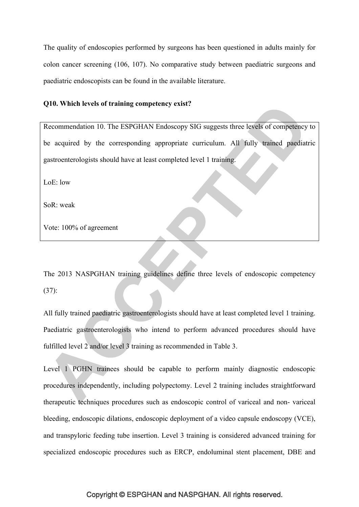The quality of endoscopies performed by surgeons has been questioned in adults mainly for colon cancer screening (106, 107). No comparative study between paediatric surgeons and paediatric endoscopists can be found in the available literature.

## **Q10. Which levels of training competency exist?**

Recommendation 10. The ESPGHAN Endoscopy SIG suggests three levels of competency to be acquired by the corresponding appropriate curriculum. All fully trained paediatric gastroenterologists should have at least completed level 1 training.

LoE: low

SoR: weak

Vote: 100% of agreement

The 2013 NASPGHAN training guidelines define three levels of endoscopic competency (37):

All fully trained paediatric gastroenterologists should have at least completed level 1 training. Paediatric gastroenterologists who intend to perform advanced procedures should have fulfilled level 2 and/or level 3 training as recommended in Table 3.

Level 1 PGHN trainees should be capable to perform mainly diagnostic endoscopic procedures independently, including polypectomy. Level 2 training includes straightforward therapeutic techniques procedures such as endoscopic control of variceal and non- variceal bleeding, endoscopic dilations, endoscopic deployment of a video capsule endoscopy (VCE), and transpyloric feeding tube insertion. Level 3 training is considered advanced training for specialized endoscopic procedures such as ERCP, endoluminal stent placement, DBE and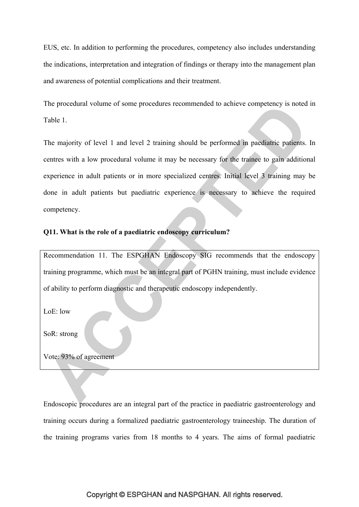EUS, etc. In addition to performing the procedures, competency also includes understanding the indications, interpretation and integration of findings or therapy into the management plan and awareness of potential complications and their treatment.

The procedural volume of some procedures recommended to achieve competency is noted in Table 1.

The majority of level 1 and level 2 training should be performed in paediatric patients. In centres with a low procedural volume it may be necessary for the trainee to gain additional experience in adult patients or in more specialized centres. Initial level 3 training may be done in adult patients but paediatric experience is necessary to achieve the required competency.

## **Q11. What is the role of a paediatric endoscopy curriculum?**

Recommendation 11. The ESPGHAN Endoscopy SIG recommends that the endoscopy training programme, which must be an integral part of PGHN training, must include evidence of ability to perform diagnostic and therapeutic endoscopy independently.

LoE: low

SoR: strong

Vote: 93% of agreement

Endoscopic procedures are an integral part of the practice in paediatric gastroenterology and training occurs during a formalized paediatric gastroenterology traineeship. The duration of the training programs varies from 18 months to 4 years. The aims of formal paediatric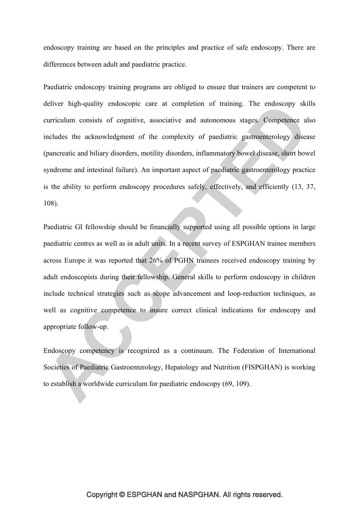endoscopy training are based on the principles and practice of safe endoscopy. There are differences between adult and paediatric practice.

Paediatric endoscopy training programs are obliged to ensure that trainers are competent to deliver high-quality endoscopic care at completion of training. The endoscopy skills curriculum consists of cognitive, associative and autonomous stages. Competence also includes the acknowledgment of the complexity of paediatric gastroenterology disease (pancreatic and biliary disorders, motility disorders, inflammatory bowel disease, short bowel syndrome and intestinal failure). An important aspect of paediatric gastroenterology practice is the ability to perform endoscopy procedures safely, effectively, and efficiently (13, 37, 108).

Paediatric GI fellowship should be financially supported using all possible options in large paediatric centres as well as in adult units. In a recent survey of ESPGHAN trainee members across Europe it was reported that 26% of PGHN trainees received endoscopy training by adult endoscopists during their fellowship. General skills to perform endoscopy in children include technical strategies such as scope advancement and loop-reduction techniques, as well as cognitive competence to insure correct clinical indications for endoscopy and appropriate follow-up.

Endoscopy competency is recognized as a continuum. The Federation of International Societies of Paediatric Gastroenterology, Hepatology and Nutrition (FISPGHAN) is working to establish a worldwide curriculum for paediatric endoscopy (69, 109).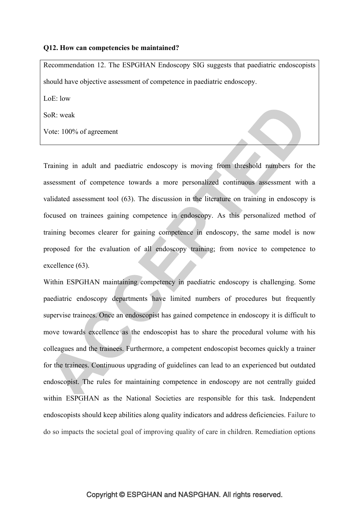#### **Q12. How can competencies be maintained?**

Recommendation 12. The ESPGHAN Endoscopy SIG suggests that paediatric endoscopists should have objective assessment of competence in paediatric endoscopy.

 $L \circ E$ : low

SoR: weak

Vote: 100% of agreement

Training in adult and paediatric endoscopy is moving from threshold numbers for the assessment of competence towards a more personalized continuous assessment with a validated assessment tool (63). The discussion in the literature on training in endoscopy is focused on trainees gaining competence in endoscopy. As this personalized method of training becomes clearer for gaining competence in endoscopy, the same model is now proposed for the evaluation of all endoscopy training; from novice to competence to excellence (63).

Within ESPGHAN maintaining competency in paediatric endoscopy is challenging. Some paediatric endoscopy departments have limited numbers of procedures but frequently supervise trainees. Once an endoscopist has gained competence in endoscopy it is difficult to move towards excellence as the endoscopist has to share the procedural volume with his colleagues and the trainees. Furthermore, a competent endoscopist becomes quickly a trainer for the trainees. Continuous upgrading of guidelines can lead to an experienced but outdated endoscopist. The rules for maintaining competence in endoscopy are not centrally guided within ESPGHAN as the National Societies are responsible for this task. Independent endoscopists should keep abilities along quality indicators and address deficiencies. Failure to do so impacts the societal goal of improving quality of care in children. Remediation options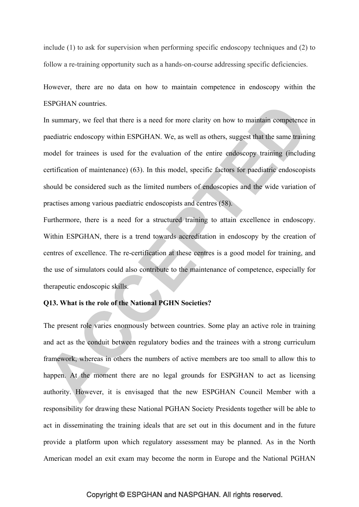include (1) to ask for supervision when performing specific endoscopy techniques and (2) to follow a re-training opportunity such as a hands-on-course addressing specific deficiencies.

However, there are no data on how to maintain competence in endoscopy within the ESPGHAN countries.

In summary, we feel that there is a need for more clarity on how to maintain competence in paediatric endoscopy within ESPGHAN. We, as well as others, suggest that the same training model for trainees is used for the evaluation of the entire endoscopy training (including certification of maintenance) (63). In this model, specific factors for paediatric endoscopists should be considered such as the limited numbers of endoscopies and the wide variation of practises among various paediatric endoscopists and centres (58).

Furthermore, there is a need for a structured training to attain excellence in endoscopy. Within ESPGHAN, there is a trend towards accreditation in endoscopy by the creation of centres of excellence. The re-certification at these centres is a good model for training, and the use of simulators could also contribute to the maintenance of competence, especially for therapeutic endoscopic skills.

## **Q13. What is the role of the National PGHN Societies?**

The present role varies enormously between countries. Some play an active role in training and act as the conduit between regulatory bodies and the trainees with a strong curriculum framework, whereas in others the numbers of active members are too small to allow this to happen. At the moment there are no legal grounds for ESPGHAN to act as licensing authority. However, it is envisaged that the new ESPGHAN Council Member with a responsibility for drawing these National PGHAN Society Presidents together will be able to act in disseminating the training ideals that are set out in this document and in the future provide a platform upon which regulatory assessment may be planned. As in the North American model an exit exam may become the norm in Europe and the National PGHAN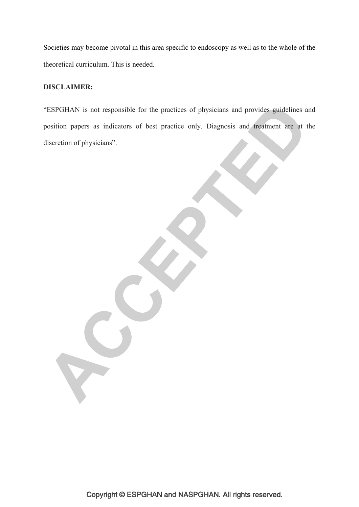Societies may become pivotal in this area specific to endoscopy as well as to the whole of the theoretical curriculum. This is needed.

## **DISCLAIMER:**

"ESPGHAN is not responsible for the practices of physicians and provides guidelines and position papers as indicators of best practice only. Diagnosis and treatment are at the discretion of physicians".

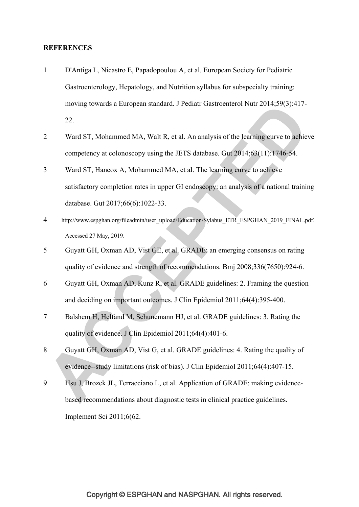#### **REFERENCES**

- 1 D'Antiga L, Nicastro E, Papadopoulou A, et al. European Society for Pediatric Gastroenterology, Hepatology, and Nutrition syllabus for subspecialty training: moving towards a European standard. J Pediatr Gastroenterol Nutr 2014;59(3):417- 22.
- 2 Ward ST, Mohammed MA, Walt R, et al. An analysis of the learning curve to achieve competency at colonoscopy using the JETS database. Gut 2014;63(11):1746-54.
- 3 Ward ST, Hancox A, Mohammed MA, et al. The learning curve to achieve satisfactory completion rates in upper GI endoscopy: an analysis of a national training database. Gut 2017;66(6):1022-33.
- 4 http://www.espghan.org/fileadmin/user\_upload/Education/Sylabus\_ETR\_ESPGHAN\_2019\_FINAL.pdf. Accessed 27 May, 2019.
- 5 Guyatt GH, Oxman AD, Vist GE, et al. GRADE: an emerging consensus on rating quality of evidence and strength of recommendations. Bmj 2008;336(7650):924-6.
- 6 Guyatt GH, Oxman AD, Kunz R, et al. GRADE guidelines: 2. Framing the question and deciding on important outcomes. J Clin Epidemiol 2011;64(4):395-400.
- 7 Balshem H, Helfand M, Schunemann HJ, et al. GRADE guidelines: 3. Rating the quality of evidence. J Clin Epidemiol 2011;64(4):401-6.
- 8 Guyatt GH, Oxman AD, Vist G, et al. GRADE guidelines: 4. Rating the quality of evidence--study limitations (risk of bias). J Clin Epidemiol 2011;64(4):407-15.
- 9 Hsu J, Brozek JL, Terracciano L, et al. Application of GRADE: making evidencebased recommendations about diagnostic tests in clinical practice guidelines. Implement Sci 2011;6(62.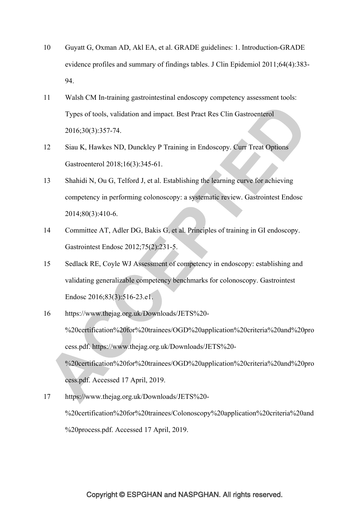- 10 Guyatt G, Oxman AD, Akl EA, et al. GRADE guidelines: 1. Introduction-GRADE evidence profiles and summary of findings tables. J Clin Epidemiol 2011;64(4):383- 94.
- 11 Walsh CM In-training gastrointestinal endoscopy competency assessment tools: Types of tools, validation and impact. Best Pract Res Clin Gastroenterol 2016;30(3):357-74.
- 12 Siau K, Hawkes ND, Dunckley P Training in Endoscopy. Curr Treat Options Gastroenterol 2018;16(3):345-61.
- 13 Shahidi N, Ou G, Telford J, et al. Establishing the learning curve for achieving competency in performing colonoscopy: a systematic review. Gastrointest Endosc 2014;80(3):410-6.
- 14 Committee AT, Adler DG, Bakis G, et al. Principles of training in GI endoscopy. Gastrointest Endosc 2012;75(2):231-5.
- 15 Sedlack RE, Coyle WJ Assessment of competency in endoscopy: establishing and validating generalizable competency benchmarks for colonoscopy. Gastrointest Endosc 2016;83(3):516-23.e1.
- 16 https://www.thejag.org.uk/Downloads/JETS%20- %20certification%20for%20trainees/OGD%20application%20criteria%20and%20pro cess.pdf. https://www.thejag.org.uk/Downloads/JETS%20- %20certification%20for%20trainees/OGD%20application%20criteria%20and%20pro cess.pdf. Accessed 17 April, 2019.
- 17 https://www.thejag.org.uk/Downloads/JETS%20- %20certification%20for%20trainees/Colonoscopy%20application%20criteria%20and %20process.pdf. Accessed 17 April, 2019.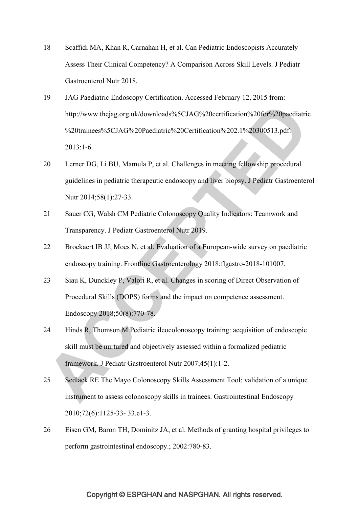- 18 Scaffidi MA, Khan R, Carnahan H, et al. Can Pediatric Endoscopists Accurately Assess Their Clinical Competency? A Comparison Across Skill Levels. J Pediatr Gastroenterol Nutr 2018.
- 19 JAG Paediatric Endoscopy Certification. Accessed February 12, 2015 from: http://www.thejag.org.uk/downloads%5CJAG%20certification%20for%20paediatric %20trainees%5CJAG%20Paediatric%20Certification%202.1%20300513.pdf. 2013:1-6.
- 20 Lerner DG, Li BU, Mamula P, et al. Challenges in meeting fellowship procedural guidelines in pediatric therapeutic endoscopy and liver biopsy. J Pediatr Gastroenterol Nutr 2014;58(1):27-33.
- 21 Sauer CG, Walsh CM Pediatric Colonoscopy Quality Indicators: Teamwork and Transparency. J Pediatr Gastroenterol Nutr 2019.
- 22 Broekaert IB JJ, Moes N, et al. Evaluation of a European-wide survey on paediatric endoscopy training. Frontline Gastroenterology 2018:flgastro-2018-101007.
- 23 Siau K, Dunckley P, Valori R, et al. Changes in scoring of Direct Observation of Procedural Skills (DOPS) forms and the impact on competence assessment. Endoscopy 2018;50(8):770-78.
- 24 Hinds R, Thomson M Pediatric ileocolonoscopy training: acquisition of endoscopic skill must be nurtured and objectively assessed within a formalized pediatric framework. J Pediatr Gastroenterol Nutr 2007;45(1):1-2.
- 25 Sedlack RE The Mayo Colonoscopy Skills Assessment Tool: validation of a unique instrument to assess colonoscopy skills in trainees. Gastrointestinal Endoscopy 2010;72(6):1125-33- 33.e1-3.
- 26 Eisen GM, Baron TH, Dominitz JA, et al. Methods of granting hospital privileges to perform gastrointestinal endoscopy.; 2002:780-83.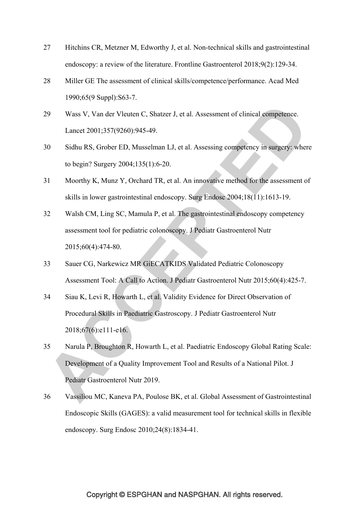- 27 Hitchins CR, Metzner M, Edworthy J, et al. Non-technical skills and gastrointestinal endoscopy: a review of the literature. Frontline Gastroenterol 2018;9(2):129-34.
- 28 Miller GE The assessment of clinical skills/competence/performance. Acad Med 1990;65(9 Suppl):S63-7.
- 29 Wass V, Van der Vleuten C, Shatzer J, et al. Assessment of clinical competence. Lancet 2001;357(9260):945-49.
- 30 Sidhu RS, Grober ED, Musselman LJ, et al. Assessing competency in surgery: where to begin? Surgery 2004;135(1):6-20.
- 31 Moorthy K, Munz Y, Orchard TR, et al. An innovative method for the assessment of skills in lower gastrointestinal endoscopy. Surg Endosc 2004;18(11):1613-19.
- 32 Walsh CM, Ling SC, Mamula P, et al. The gastrointestinal endoscopy competency assessment tool for pediatric colonoscopy. J Pediatr Gastroenterol Nutr 2015;60(4):474-80.
- 33 Sauer CG, Narkewicz MR GiECATKIDS Validated Pediatric Colonoscopy Assessment Tool: A Call to Action. J Pediatr Gastroenterol Nutr 2015;60(4):425-7.
- 34 Siau K, Levi R, Howarth L, et al. Validity Evidence for Direct Observation of Procedural Skills in Paediatric Gastroscopy. J Pediatr Gastroenterol Nutr 2018;67(6):e111-e16.
- 35 Narula P, Broughton R, Howarth L, et al. Paediatric Endoscopy Global Rating Scale: Development of a Quality Improvement Tool and Results of a National Pilot. J Pediatr Gastroenterol Nutr 2019.
- 36 Vassiliou MC, Kaneva PA, Poulose BK, et al. Global Assessment of Gastrointestinal Endoscopic Skills (GAGES): a valid measurement tool for technical skills in flexible endoscopy. Surg Endosc 2010;24(8):1834-41.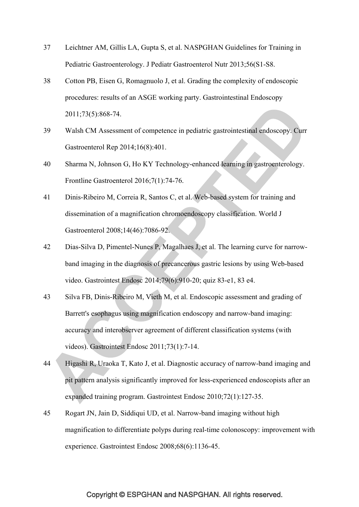- 37 Leichtner AM, Gillis LA, Gupta S, et al. NASPGHAN Guidelines for Training in Pediatric Gastroenterology. J Pediatr Gastroenterol Nutr 2013;56(S1-S8.
- 38 Cotton PB, Eisen G, Romagnuolo J, et al. Grading the complexity of endoscopic procedures: results of an ASGE working party. Gastrointestinal Endoscopy 2011;73(5):868-74.
- 39 Walsh CM Assessment of competence in pediatric gastrointestinal endoscopy. Curr Gastroenterol Rep 2014;16(8):401.
- 40 Sharma N, Johnson G, Ho KY Technology-enhanced learning in gastroenterology. Frontline Gastroenterol 2016;7(1):74-76.
- 41 Dinis-Ribeiro M, Correia R, Santos C, et al. Web-based system for training and dissemination of a magnification chromoendoscopy classification. World J Gastroenterol 2008;14(46):7086-92.
- 42 Dias-Silva D, Pimentel-Nunes P, Magalhaes J, et al. The learning curve for narrowband imaging in the diagnosis of precancerous gastric lesions by using Web-based video. Gastrointest Endosc 2014;79(6):910-20; quiz 83-e1, 83 e4.
- 43 Silva FB, Dinis-Ribeiro M, Vieth M, et al. Endoscopic assessment and grading of Barrett's esophagus using magnification endoscopy and narrow-band imaging: accuracy and interobserver agreement of different classification systems (with videos). Gastrointest Endosc 2011;73(1):7-14.
- 44 Higashi R, Uraoka T, Kato J, et al. Diagnostic accuracy of narrow-band imaging and pit pattern analysis significantly improved for less-experienced endoscopists after an expanded training program. Gastrointest Endosc 2010;72(1):127-35.
- 45 Rogart JN, Jain D, Siddiqui UD, et al. Narrow-band imaging without high magnification to differentiate polyps during real-time colonoscopy: improvement with experience. Gastrointest Endosc 2008;68(6):1136-45.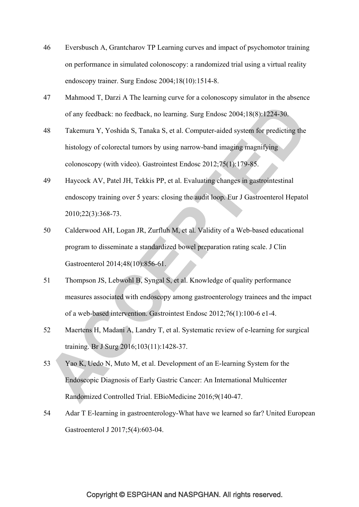- 46 Eversbusch A, Grantcharov TP Learning curves and impact of psychomotor training on performance in simulated colonoscopy: a randomized trial using a virtual reality endoscopy trainer. Surg Endosc 2004;18(10):1514-8.
- 47 Mahmood T, Darzi A The learning curve for a colonoscopy simulator in the absence of any feedback: no feedback, no learning. Surg Endosc 2004;18(8):1224-30.
- 48 Takemura Y, Yoshida S, Tanaka S, et al. Computer-aided system for predicting the histology of colorectal tumors by using narrow-band imaging magnifying colonoscopy (with video). Gastrointest Endosc 2012;75(1):179-85.
- 49 Haycock AV, Patel JH, Tekkis PP, et al. Evaluating changes in gastrointestinal endoscopy training over 5 years: closing the audit loop. Eur J Gastroenterol Hepatol 2010;22(3):368-73.
- 50 Calderwood AH, Logan JR, Zurfluh M, et al. Validity of a Web-based educational program to disseminate a standardized bowel preparation rating scale. J Clin Gastroenterol 2014;48(10):856-61.
- 51 Thompson JS, Lebwohl B, Syngal S, et al. Knowledge of quality performance measures associated with endoscopy among gastroenterology trainees and the impact of a web-based intervention. Gastrointest Endosc 2012;76(1):100-6 e1-4.
- 52 Maertens H, Madani A, Landry T, et al. Systematic review of e-learning for surgical training. Br J Surg 2016;103(11):1428-37.
- 53 Yao K, Uedo N, Muto M, et al. Development of an E-learning System for the Endoscopic Diagnosis of Early Gastric Cancer: An International Multicenter Randomized Controlled Trial. EBioMedicine 2016;9(140-47.
- 54 Adar T E-learning in gastroenterology-What have we learned so far? United European Gastroenterol J 2017;5(4):603-04.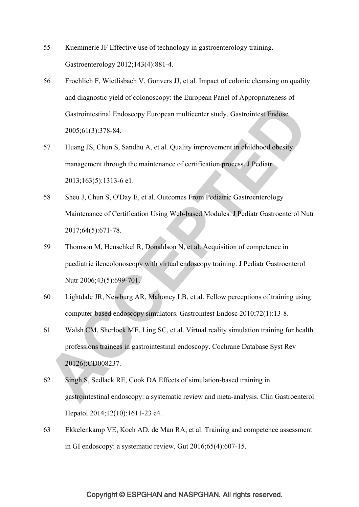- 55 Kuemmerle JF Effective use of technology in gastroenterology training. Gastroenterology 2012;143(4):881-4.
- 56 Froehlich F, Wietlisbach V, Gonvers JJ, et al. Impact of colonic cleansing on quality and diagnostic yield of colonoscopy: the European Panel of Appropriateness of Gastrointestinal Endoscopy European multicenter study. Gastrointest Endosc 2005;61(3):378-84.
- 57 Huang JS, Chun S, Sandhu A, et al. Quality improvement in childhood obesity management through the maintenance of certification process. J Pediatr 2013;163(5):1313-6 e1.
- 58 Sheu J, Chun S, O'Day E, et al. Outcomes From Pediatric Gastroenterology Maintenance of Certification Using Web-based Modules. J Pediatr Gastroenterol Nutr 2017;64(5):671-78.
- 59 Thomson M, Heuschkel R, Donaldson N, et al. Acquisition of competence in paediatric ileocolonoscopy with virtual endoscopy training. J Pediatr Gastroenterol Nutr 2006;43(5):699-701.
- 60 Lightdale JR, Newburg AR, Mahoney LB, et al. Fellow perceptions of training using computer-based endoscopy simulators. Gastrointest Endosc 2010;72(1):13-8.
- 61 Walsh CM, Sherlock ME, Ling SC, et al. Virtual reality simulation training for health professions trainees in gastrointestinal endoscopy. Cochrane Database Syst Rev 20126):CD008237.
- 62 Singh S, Sedlack RE, Cook DA Effects of simulation-based training in gastrointestinal endoscopy: a systematic review and meta-analysis. Clin Gastroenterol Hepatol 2014;12(10):1611-23 e4.
- 63 Ekkelenkamp VE, Koch AD, de Man RA, et al. Training and competence assessment in GI endoscopy: a systematic review. Gut 2016;65(4):607-15.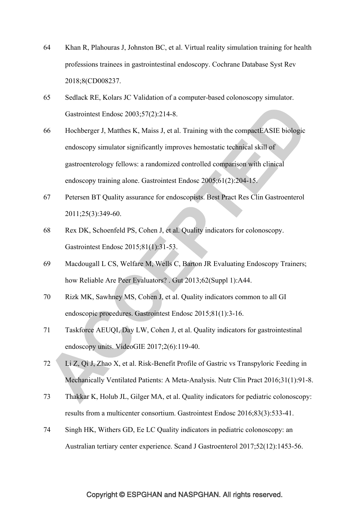- 64 Khan R, Plahouras J, Johnston BC, et al. Virtual reality simulation training for health professions trainees in gastrointestinal endoscopy. Cochrane Database Syst Rev 2018;8(CD008237.
- 65 Sedlack RE, Kolars JC Validation of a computer-based colonoscopy simulator. Gastrointest Endosc 2003;57(2):214-8.
- 66 Hochberger J, Matthes K, Maiss J, et al. Training with the compactEASIE biologic endoscopy simulator significantly improves hemostatic technical skill of gastroenterology fellows: a randomized controlled comparison with clinical endoscopy training alone. Gastrointest Endosc 2005;61(2):204-15.
- 67 Petersen BT Quality assurance for endoscopists. Best Pract Res Clin Gastroenterol 2011;25(3):349-60.
- 68 Rex DK, Schoenfeld PS, Cohen J, et al. Quality indicators for colonoscopy. Gastrointest Endosc 2015;81(1):31-53.
- 69 Macdougall L CS, Welfare M, Wells C, Barton JR Evaluating Endoscopy Trainers; how Reliable Are Peer Evaluators? . Gut 2013;62(Suppl 1):A44.
- 70 Rizk MK, Sawhney MS, Cohen J, et al. Quality indicators common to all GI endoscopic procedures. Gastrointest Endosc 2015;81(1):3-16.
- 71 Taskforce AEUQI, Day LW, Cohen J, et al. Quality indicators for gastrointestinal endoscopy units. VideoGIE 2017;2(6):119-40.
- 72 Li Z, Qi J, Zhao X, et al. Risk-Benefit Profile of Gastric vs Transpyloric Feeding in Mechanically Ventilated Patients: A Meta-Analysis. Nutr Clin Pract 2016;31(1):91-8.
- 73 Thakkar K, Holub JL, Gilger MA, et al. Quality indicators for pediatric colonoscopy: results from a multicenter consortium. Gastrointest Endosc 2016;83(3):533-41.
- 74 Singh HK, Withers GD, Ee LC Quality indicators in pediatric colonoscopy: an Australian tertiary center experience. Scand J Gastroenterol 2017;52(12):1453-56.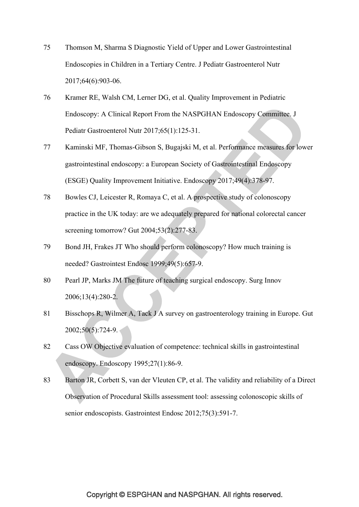- 75 Thomson M, Sharma S Diagnostic Yield of Upper and Lower Gastrointestinal Endoscopies in Children in a Tertiary Centre. J Pediatr Gastroenterol Nutr 2017;64(6):903-06.
- 76 Kramer RE, Walsh CM, Lerner DG, et al. Quality Improvement in Pediatric Endoscopy: A Clinical Report From the NASPGHAN Endoscopy Committee. J Pediatr Gastroenterol Nutr 2017;65(1):125-31.
- 77 Kaminski MF, Thomas-Gibson S, Bugajski M, et al. Performance measures for lower gastrointestinal endoscopy: a European Society of Gastrointestinal Endoscopy (ESGE) Quality Improvement Initiative. Endoscopy 2017;49(4):378-97.
- 78 Bowles CJ, Leicester R, Romaya C, et al. A prospective study of colonoscopy practice in the UK today: are we adequately prepared for national colorectal cancer screening tomorrow? Gut 2004;53(2):277-83.
- 79 Bond JH, Frakes JT Who should perform colonoscopy? How much training is needed? Gastrointest Endosc 1999;49(5):657-9.
- 80 Pearl JP, Marks JM The future of teaching surgical endoscopy. Surg Innov 2006;13(4):280-2.
- 81 Bisschops R, Wilmer A, Tack J A survey on gastroenterology training in Europe. Gut 2002;50(5):724-9.
- 82 Cass OW Objective evaluation of competence: technical skills in gastrointestinal endoscopy. Endoscopy 1995;27(1):86-9.
- 83 Barton JR, Corbett S, van der Vleuten CP, et al. The validity and reliability of a Direct Observation of Procedural Skills assessment tool: assessing colonoscopic skills of senior endoscopists. Gastrointest Endosc 2012;75(3):591-7.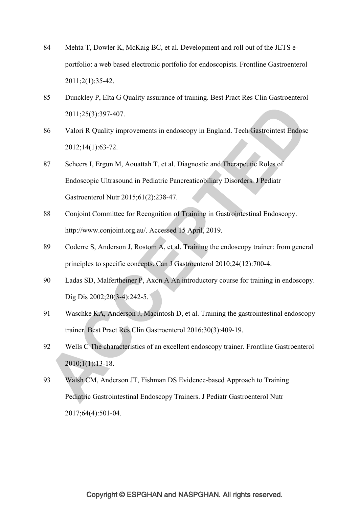- 84 Mehta T, Dowler K, McKaig BC, et al. Development and roll out of the JETS eportfolio: a web based electronic portfolio for endoscopists. Frontline Gastroenterol 2011;2(1):35-42.
- 85 Dunckley P, Elta G Quality assurance of training. Best Pract Res Clin Gastroenterol 2011;25(3):397-407.
- 86 Valori R Quality improvements in endoscopy in England. Tech Gastrointest Endosc 2012;14(1):63-72.
- 87 Scheers I, Ergun M, Aouattah T, et al. Diagnostic and Therapeutic Roles of Endoscopic Ultrasound in Pediatric Pancreaticobiliary Disorders. J Pediatr Gastroenterol Nutr 2015;61(2):238-47.
- 88 Conjoint Committee for Recognition of Training in Gastrointestinal Endoscopy. http://www.conjoint.org.au/. Accessed 15 April, 2019.
- 89 Coderre S, Anderson J, Rostom A, et al. Training the endoscopy trainer: from general principles to specific concepts. Can J Gastroenterol 2010;24(12):700-4.
- 90 Ladas SD, Malfertheiner P, Axon A An introductory course for training in endoscopy. Dig Dis 2002;20(3-4):242-5.
- 91 Waschke KA, Anderson J, Macintosh D, et al. Training the gastrointestinal endoscopy trainer. Best Pract Res Clin Gastroenterol 2016;30(3):409-19.
- 92 Wells C The characteristics of an excellent endoscopy trainer. Frontline Gastroenterol 2010;1(1):13-18.
- 93 Walsh CM, Anderson JT, Fishman DS Evidence-based Approach to Training Pediatric Gastrointestinal Endoscopy Trainers. J Pediatr Gastroenterol Nutr 2017;64(4):501-04.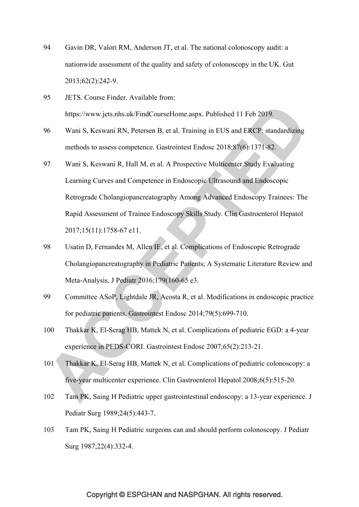- 94 Gavin DR, Valori RM, Anderson JT, et al. The national colonoscopy audit: a nationwide assessment of the quality and safety of colonoscopy in the UK. Gut 2013;62(2):242-9.
- 95 JETS. Course Finder. Available from: https://www.jets.nhs.uk/FindCourseHome.aspx. Published 11 Feb 2019.
- 96 Wani S, Keswani RN, Petersen B, et al. Training in EUS and ERCP: standardizing methods to assess competence. Gastrointest Endosc 2018;87(6):1371-82.
- 97 Wani S, Keswani R, Hall M, et al. A Prospective Multicenter Study Evaluating Learning Curves and Competence in Endoscopic Ultrasound and Endoscopic Retrograde Cholangiopancreatography Among Advanced Endoscopy Trainees: The Rapid Assessment of Trainee Endoscopy Skills Study. Clin Gastroenterol Hepatol 2017;15(11):1758-67 e11.
- 98 Usatin D, Fernandes M, Allen IE, et al. Complications of Endoscopic Retrograde Cholangiopancreatography in Pediatric Patients; A Systematic Literature Review and Meta-Analysis. J Pediatr 2016;179(160-65 e3.
- 99 Committee ASoP, Lightdale JR, Acosta R, et al. Modifications in endoscopic practice for pediatric patients. Gastrointest Endosc 2014;79(5):699-710.
- 100 Thakkar K, El-Serag HB, Mattek N, et al. Complications of pediatric EGD: a 4-year experience in PEDS-CORI. Gastrointest Endosc 2007;65(2):213-21.
- 101 Thakkar K, El-Serag HB, Mattek N, et al. Complications of pediatric colonoscopy: a five-year multicenter experience. Clin Gastroenterol Hepatol 2008;6(5):515-20.
- 102 Tam PK, Saing H Pediatric upper gastrointestinal endoscopy: a 13-year experience. J Pediatr Surg 1989;24(5):443-7.
- 103 Tam PK, Saing H Pediatric surgeons can and should perform colonoscopy. J Pediatr Surg 1987;22(4):332-4.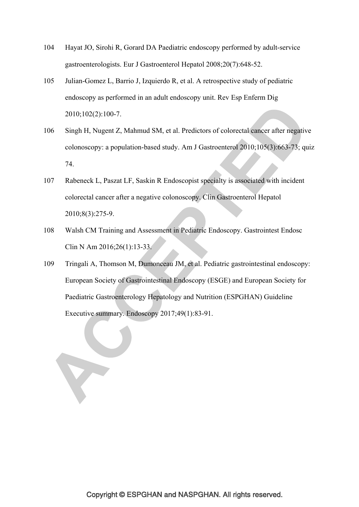- 104 Hayat JO, Sirohi R, Gorard DA Paediatric endoscopy performed by adult-service gastroenterologists. Eur J Gastroenterol Hepatol 2008;20(7):648-52.
- 105 Julian-Gomez L, Barrio J, Izquierdo R, et al. A retrospective study of pediatric endoscopy as performed in an adult endoscopy unit. Rev Esp Enferm Dig 2010;102(2):100-7.
- 106 Singh H, Nugent Z, Mahmud SM, et al. Predictors of colorectal cancer after negative colonoscopy: a population-based study. Am J Gastroenterol 2010;105(3):663-73; quiz 74.
- 107 Rabeneck L, Paszat LF, Saskin R Endoscopist specialty is associated with incident colorectal cancer after a negative colonoscopy. Clin Gastroenterol Hepatol 2010;8(3):275-9.
- 108 Walsh CM Training and Assessment in Pediatric Endoscopy. Gastrointest Endosc Clin N Am 2016;26(1):13-33.
- 109 Tringali A, Thomson M, Dumonceau JM, et al. Pediatric gastrointestinal endoscopy: European Society of Gastrointestinal Endoscopy (ESGE) and European Society for Paediatric Gastroenterology Hepatology and Nutrition (ESPGHAN) Guideline Executive summary. Endoscopy 2017;49(1):83-91.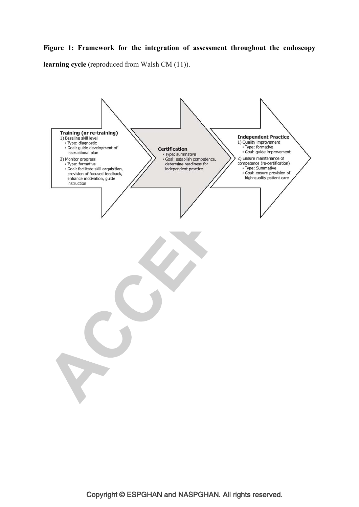## **Figure 1: Framework for the integration of assessment throughout the endoscopy**

**learning cycle** (reproduced from Walsh CM (11)).

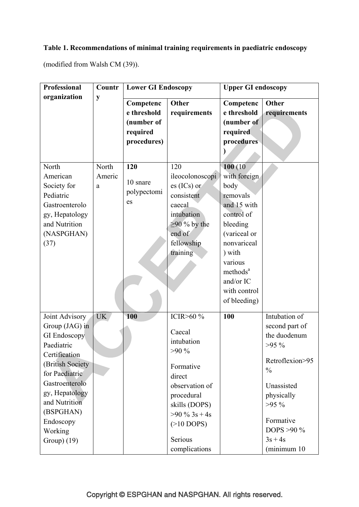# **Table 1. Recommendations of minimal training requirements in paediatric endoscopy**

(modified from Walsh CM (39)).

| <b>Professional</b> | Countr    | <b>Lower GI Endoscopy</b> |                    | <b>Upper GI endoscopy</b> |                 |
|---------------------|-----------|---------------------------|--------------------|---------------------------|-----------------|
| organization        | y         | Competenc                 | Other              | Competenc                 | Other           |
|                     |           | e threshold               | requirements       | e threshold               | requirements    |
|                     |           | (number of                |                    | (number of                |                 |
|                     |           | required                  |                    | required                  |                 |
|                     |           | procedures)               |                    | procedures                |                 |
|                     |           |                           |                    |                           |                 |
|                     |           |                           |                    |                           |                 |
| North               | North     | 120                       | 120                | 100(10)                   |                 |
| American            | Americ    |                           | ileocolonoscopi    | with foreign              |                 |
| Society for         | a         | 10 snare                  | $es (ICs)$ or      | body                      |                 |
| Pediatric           |           | polypectomi               | consistent         | removals                  |                 |
| Gastroenterolo      |           | es                        | caecal             | and 15 with               |                 |
| gy, Hepatology      |           |                           | intubation         | control of                |                 |
| and Nutrition       |           |                           | $\geq$ 90 % by the | bleeding                  |                 |
| (NASPGHAN)          |           |                           | end of             | (variceal or              |                 |
| (37)                |           |                           | fellowship         | nonvariceal               |                 |
|                     |           |                           | training           | ) with                    |                 |
|                     |           |                           |                    | various                   |                 |
|                     |           |                           |                    | methods <sup>a</sup>      |                 |
|                     |           |                           |                    | and/or IC                 |                 |
|                     |           |                           |                    | with control              |                 |
|                     |           |                           |                    | of bleeding)              |                 |
|                     |           |                           |                    |                           |                 |
| Joint Advisory      | <b>UK</b> | 100                       | ICIR>60 %          | 100                       | Intubation of   |
| Group (JAG) in      |           |                           | Caecal             |                           | second part of  |
| <b>GI</b> Endoscopy |           |                           | intubation         |                           | the duodenum    |
| Paediatric          |           |                           | $>90\%$            |                           | $>95\%$         |
| Certification       |           |                           |                    |                           | Retroflexion>95 |
| (British Society)   |           |                           | Formative          |                           | $\frac{0}{0}$   |
| for Paediatric      |           |                           | direct             |                           |                 |
| Gastroenterolo      |           |                           | observation of     |                           | Unassisted      |
| gy, Hepatology      |           |                           | procedural         |                           | physically      |
| and Nutrition       |           |                           | skills (DOPS)      |                           | $>95\%$         |
| (BSPGHAN)           |           |                           | $>90 \%$ 3s + 4s   |                           |                 |
| Endoscopy           |           |                           | $(>10$ DOPS)       |                           | Formative       |
| Working             |           |                           |                    |                           | DOPS $>90\%$    |
| Group) $(19)$       |           |                           | Serious            |                           | $3s + 4s$       |
|                     |           |                           | complications      |                           | (minimum 10)    |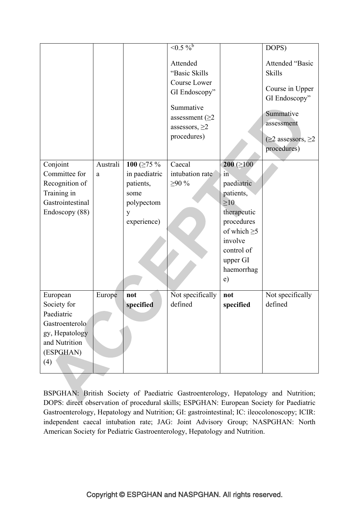|                  |          |                   | $\leq 0.5\frac{9}{6}$                                                                                                                  |                   | DOPS)                                                                                                                                            |
|------------------|----------|-------------------|----------------------------------------------------------------------------------------------------------------------------------------|-------------------|--------------------------------------------------------------------------------------------------------------------------------------------------|
|                  |          |                   | Attended<br>"Basic Skills<br>Course Lower<br>GI Endoscopy"<br>Summative<br>assessment ( $\geq$ 2<br>assessors, $\geq$ 2<br>procedures) |                   | Attended "Basic<br><b>Skills</b><br>Course in Upper<br>GI Endoscopy"<br>Summative<br>assessment<br>( $\geq$ 2 assessors, $\geq$ 2<br>procedures) |
| Conjoint         | Australi | 100 ( $\geq$ 75 % | Caecal                                                                                                                                 | $200 ( \geq 100$  |                                                                                                                                                  |
| Committee for    | a        | in paediatric     | intubation rate                                                                                                                        | in                |                                                                                                                                                  |
| Recognition of   |          | patients,         | $\geq 90\%$                                                                                                                            | paediatric        |                                                                                                                                                  |
| Training in      |          | some              |                                                                                                                                        | patients,         |                                                                                                                                                  |
| Gastrointestinal |          | polypectom        |                                                                                                                                        | $\geq 10$         |                                                                                                                                                  |
| Endoscopy (88)   |          | y                 |                                                                                                                                        | therapeutic       |                                                                                                                                                  |
|                  |          | experience)       |                                                                                                                                        | procedures        |                                                                                                                                                  |
|                  |          |                   |                                                                                                                                        | of which $\geq 5$ |                                                                                                                                                  |
|                  |          |                   |                                                                                                                                        | involve           |                                                                                                                                                  |
|                  |          |                   |                                                                                                                                        | control of        |                                                                                                                                                  |
|                  |          |                   |                                                                                                                                        | upper GI          |                                                                                                                                                  |
|                  |          |                   |                                                                                                                                        | haemorrhag        |                                                                                                                                                  |
|                  |          |                   |                                                                                                                                        | e)                |                                                                                                                                                  |
| European         | Europe   | not               | Not specifically                                                                                                                       | not               | Not specifically                                                                                                                                 |
| Society for      |          | specified         | defined                                                                                                                                | specified         | defined                                                                                                                                          |
| Paediatric       |          |                   |                                                                                                                                        |                   |                                                                                                                                                  |
| Gastroenterolo   |          |                   |                                                                                                                                        |                   |                                                                                                                                                  |
| gy, Hepatology   |          |                   |                                                                                                                                        |                   |                                                                                                                                                  |
| and Nutrition    |          |                   |                                                                                                                                        |                   |                                                                                                                                                  |
| (ESPGHAN)        |          |                   |                                                                                                                                        |                   |                                                                                                                                                  |
| (4)              |          |                   |                                                                                                                                        |                   |                                                                                                                                                  |
|                  |          |                   |                                                                                                                                        |                   |                                                                                                                                                  |

BSPGHAN: British Society of Paediatric Gastroenterology, Hepatology and Nutrition; DOPS: direct observation of procedural skills; ESPGHAN: European Society for Paediatric Gastroenterology, Hepatology and Nutrition; GI: gastrointestinal; IC: ileocolonoscopy; ICIR: independent caecal intubation rate; JAG: Joint Advisory Group; NASPGHAN: North American Society for Pediatric Gastroenterology, Hepatology and Nutrition.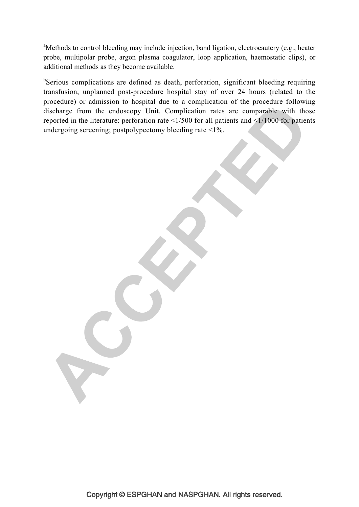<sup>a</sup>Methods to control bleeding may include injection, band ligation, electrocautery (e.g., heater probe, multipolar probe, argon plasma coagulator, loop application, haemostatic clips), or additional methods as they become available.

<sup>b</sup>Serious complications are defined as death, perforation, significant bleeding requiring transfusion, unplanned post-procedure hospital stay of over 24 hours (related to the procedure) or admission to hospital due to a complication of the procedure following discharge from the endoscopy Unit. Complication rates are comparable with those reported in the literature: perforation rate  $\leq 1/500$  for all patients and  $\leq 1/1000$  for patients undergoing screening; postpolypectomy bleeding rate <1%.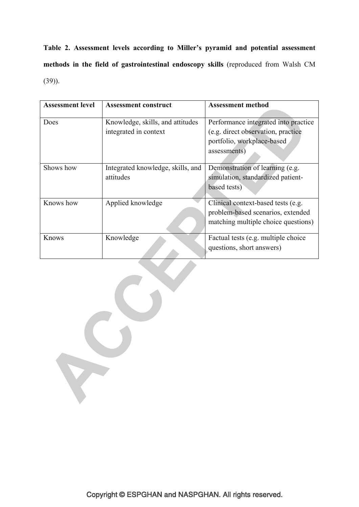**Table 2. Assessment levels according to Miller's pyramid and potential assessment methods in the field of gastrointestinal endoscopy skills** (reproduced from Walsh CM (39)).

| <b>Assessment level</b> | <b>Assessment construct</b>                               | <b>Assessment method</b>                                                                                                 |
|-------------------------|-----------------------------------------------------------|--------------------------------------------------------------------------------------------------------------------------|
| Does                    | Knowledge, skills, and attitudes<br>integrated in context | Performance integrated into practice<br>(e.g. direct observation, practice<br>portfolio, workplace-based<br>assessments) |
| Shows how               | Integrated knowledge, skills, and<br>attitudes            | Demonstration of learning (e.g.<br>simulation, standardized patient-<br>based tests)                                     |
| Knows how               | Applied knowledge                                         | Clinical context-based tests (e.g.<br>problem-based scenarios, extended<br>matching multiple choice questions)           |
| Knows                   | Knowledge                                                 | Factual tests (e.g. multiple choice<br>questions, short answers)                                                         |
|                         |                                                           |                                                                                                                          |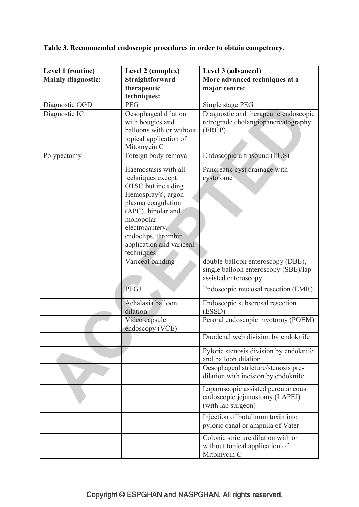**Table 3. Recommended endoscopic procedures in order to obtain competency.** 

| Level 1 (routine)         | Level 2 (complex)                               | Level 3 (advanced)                                             |
|---------------------------|-------------------------------------------------|----------------------------------------------------------------|
| <b>Mainly diagnostic:</b> | Straightforward                                 | More advanced techniques at a                                  |
|                           | therapeutic                                     | major centre:                                                  |
|                           | techniques:                                     |                                                                |
| Diagnostic OGD            | <b>PEG</b>                                      | Single stage PEG                                               |
| Diagnostic IC             | Oesophageal dilation                            | Diagnostic and therapeutic endoscopic                          |
|                           | with bougies and                                | retrograde cholangiopancreatography                            |
|                           | balloons with or without                        | (ERCP)                                                         |
|                           | topical application of                          |                                                                |
|                           | Mitomycin C                                     |                                                                |
| Polypectomy               | Foreign body removal                            | Endoscopic ultrasound (EUS)                                    |
|                           | Haemostasis with all                            | Pancreatic cyst drainage with                                  |
|                           | techniques except                               | cystotome                                                      |
|                           | OTSC but including                              |                                                                |
|                           | Hemospray®, argon                               |                                                                |
|                           | plasma coagulation                              |                                                                |
|                           | (APC), bipolar and                              |                                                                |
|                           | monopolar                                       |                                                                |
|                           | electrocautery,                                 |                                                                |
|                           | endoclips, thrombin<br>application and variceal |                                                                |
|                           | techniques                                      |                                                                |
|                           | Variceal banding                                | double-balloon enteroscopy (DBE),                              |
|                           |                                                 | single balloon enteroscopy (SBE)/lap-                          |
|                           |                                                 | assisted enteroscopy                                           |
|                           | PEGJ                                            | Endoscopic mucosal resection (EMR)                             |
|                           | Achalasia balloon                               | Endoscopic subserosal resection                                |
|                           | dilation                                        | (ESSD)                                                         |
|                           | Video capsule                                   | Peroral endoscopic myotomy (POEM)                              |
|                           | endoscopy (VCE)                                 |                                                                |
|                           |                                                 | Duodenal web division by endoknife                             |
|                           |                                                 | Pyloric stenosis division by endoknife<br>and balloon dilation |
|                           |                                                 | Oesophageal stricture/stenosis pre-                            |
|                           |                                                 | dilation with incision by endoknife                            |
|                           |                                                 | Laparoscopic assisted percutaneous                             |
|                           |                                                 | endoscopic jejunostomy (LAPEJ)                                 |
|                           |                                                 | (with lap surgeon)                                             |
|                           |                                                 | Injection of botulinum toxin into                              |
|                           |                                                 | pyloric canal or ampulla of Vater                              |
|                           |                                                 | Colonic stricture dilation with or                             |
|                           |                                                 | without topical application of                                 |
|                           |                                                 | Mitomycin C                                                    |